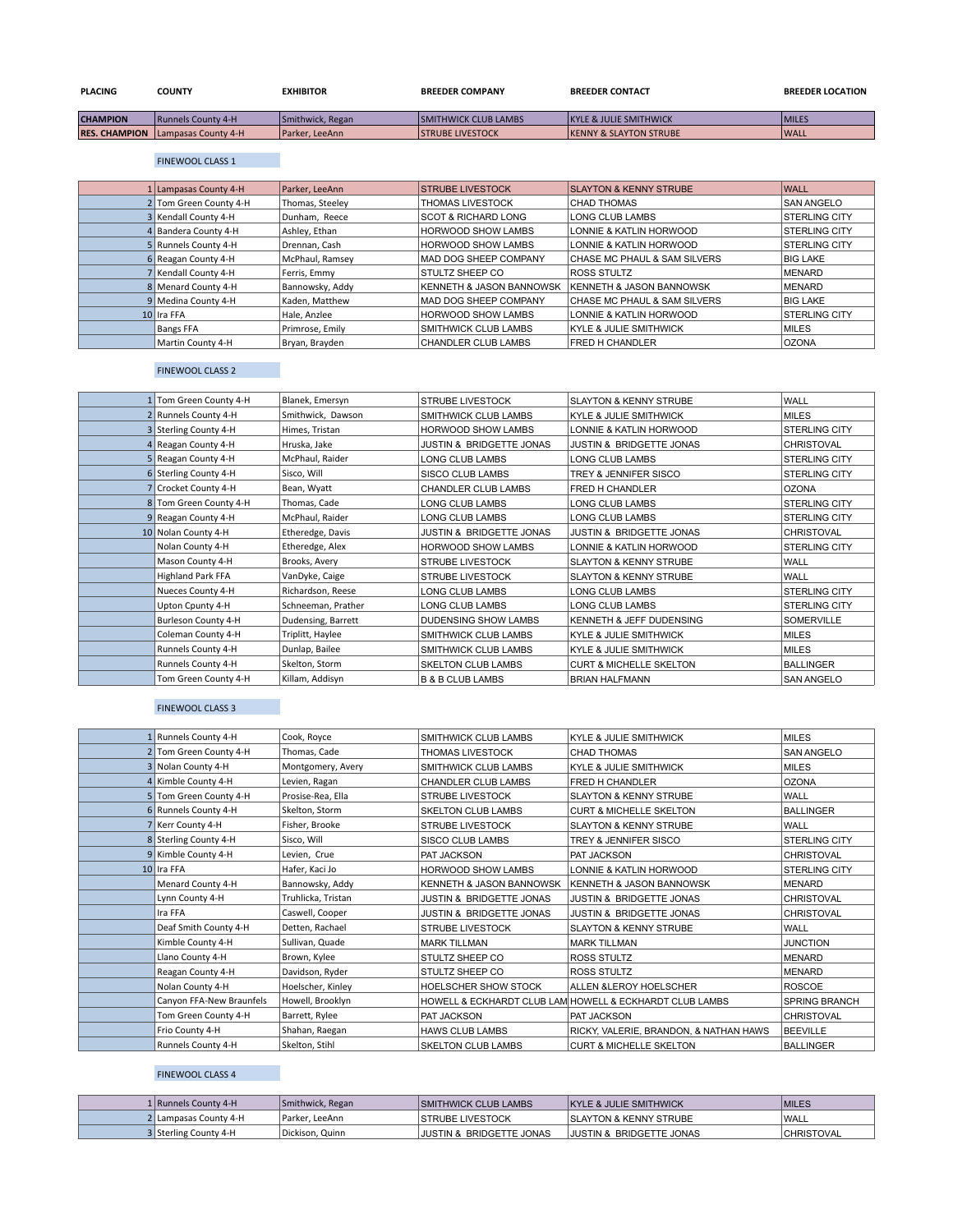| <b>PLACING</b>  | COUNTY                                   | <b>EXHIBITOR</b>      | <b>BREEDER COMPANY</b>       | <b>BREEDER CONTACT</b>             | <b>BREEDER LOCATION</b> |
|-----------------|------------------------------------------|-----------------------|------------------------------|------------------------------------|-------------------------|
| <b>CHAMPION</b> | <b>Runnels County 4-H</b>                | Smithwick, Regan      | <b>ISMITHWICK CLUB LAMBS</b> | <b>IKYLE &amp; JULIE SMITHWICK</b> | <b>MILES</b>            |
|                 | <b>RES. CHAMPION</b> Lampasas County 4-H | <b>Parker, LeeAnn</b> | <b>ISTRUBE LIVESTOCK</b>     | <b>IKENNY &amp; SLAYTON STRUBE</b> | <b>WALL</b>             |

#### FINEWOOL CLASS 1

| 1 Lampasas County 4-H  | Parker, LeeAnn  | <b>STRUBE LIVESTOCK</b>             | <b>SLAYTON &amp; KENNY STRUBE</b>   | <b>WALL</b>          |
|------------------------|-----------------|-------------------------------------|-------------------------------------|----------------------|
| 2 Tom Green County 4-H | Thomas, Steeley | THOMAS LIVESTOCK                    | <b>CHAD THOMAS</b>                  | <b>SAN ANGELO</b>    |
| 3 Kendall County 4-H   | Dunham, Reece   | <b>SCOT &amp; RICHARD LONG</b>      | <b>LONG CLUB LAMBS</b>              | <b>STERLING CITY</b> |
| 4 Bandera County 4-H   | Ashlev. Ethan   | <b>HORWOOD SHOW LAMBS</b>           | LONNIE & KATLIN HORWOOD             | <b>STERLING CITY</b> |
| 5 Runnels County 4-H   | Drennan, Cash   | <b>HORWOOD SHOW LAMBS</b>           | LONNIE & KATLIN HORWOOD             | <b>STERLING CITY</b> |
| 6 Reagan County 4-H    | McPhaul, Ramsey | MAD DOG SHEEP COMPANY               | CHASE MC PHAUL & SAM SILVERS        | <b>BIG LAKE</b>      |
| 7 Kendall County 4-H   | Ferris, Emmy    | <b>STULTZ SHEEP CO</b>              | <b>ROSS STULTZ</b>                  | MENARD               |
| 8 Menard County 4-H    | Bannowsky, Addy | <b>KENNETH &amp; JASON BANNOWSK</b> | <b>KENNETH &amp; JASON BANNOWSK</b> | MENARD               |
| 9 Medina County 4-H    | Kaden. Matthew  | MAD DOG SHEEP COMPANY               | CHASE MC PHAUL & SAM SILVERS        | <b>BIG LAKE</b>      |
| 10 Ira FFA             | Hale, Anzlee    | <b>HORWOOD SHOW LAMBS</b>           | LONNIE & KATLIN HORWOOD             | <b>STERLING CITY</b> |
| <b>Bangs FFA</b>       | Primrose, Emily | <b>SMITHWICK CLUB LAMBS</b>         | <b>KYLE &amp; JULIE SMITHWICK</b>   | <b>MILES</b>         |
| Martin County 4-H      | Bryan, Brayden  | <b>CHANDLER CLUB LAMBS</b>          | <b>FRED H CHANDLER</b>              | <b>OZONA</b>         |

# FINEWOOL CLASS 2

| 1 Tom Green County 4-H | Blanek, Emersyn    | <b>STRUBE LIVESTOCK</b>             | <b>SLAYTON &amp; KENNY STRUBE</b>  | <b>WALL</b>          |
|------------------------|--------------------|-------------------------------------|------------------------------------|----------------------|
| 2 Runnels County 4-H   | Smithwick, Dawson  | SMITHWICK CLUB LAMBS                | <b>KYLE &amp; JULIE SMITHWICK</b>  | <b>MILES</b>         |
| 3 Sterling County 4-H  | Himes, Tristan     | HORWOOD SHOW LAMBS                  | LONNIE & KATLIN HORWOOD            | STERLING CITY        |
| 4 Reagan County 4-H    | Hruska, Jake       | <b>JUSTIN &amp; BRIDGETTE JONAS</b> | JUSTIN & BRIDGETTE JONAS           | <b>CHRISTOVAL</b>    |
| 5 Reagan County 4-H    | McPhaul, Raider    | LONG CLUB LAMBS                     | <b>LONG CLUB LAMBS</b>             | STERLING CITY        |
| 6 Sterling County 4-H  | Sisco, Will        | <b>SISCO CLUB LAMBS</b>             | TREY & JENNIFER SISCO              | STERLING CITY        |
| 7 Crocket County 4-H   | Bean, Wyatt        | <b>CHANDLER CLUB LAMBS</b>          | FRED H CHANDLER                    | <b>OZONA</b>         |
| 8 Tom Green County 4-H | Thomas, Cade       | LONG CLUB LAMBS                     | <b>LONG CLUB LAMBS</b>             | <b>STERLING CITY</b> |
| 9 Reagan County 4-H    | McPhaul, Raider    | LONG CLUB LAMBS                     | LONG CLUB LAMBS                    | STERLING CITY        |
| 10 Nolan County 4-H    | Etheredge, Davis   | <b>JUSTIN &amp; BRIDGETTE JONAS</b> | JUSTIN & BRIDGETTE JONAS           | <b>CHRISTOVAL</b>    |
| Nolan County 4-H       | Etheredge, Alex    | HORWOOD SHOW LAMBS                  | LONNIE & KATLIN HORWOOD            | STERLING CITY        |
| Mason County 4-H       | Brooks, Avery      | <b>STRUBE LIVESTOCK</b>             | <b>SLAYTON &amp; KENNY STRUBE</b>  | WALL                 |
| Highland Park FFA      | VanDyke, Caige     | <b>STRUBE LIVESTOCK</b>             | <b>SLAYTON &amp; KENNY STRUBE</b>  | WALL                 |
| Nueces County 4-H      | Richardson, Reese  | LONG CLUB LAMBS                     | <b>LONG CLUB LAMBS</b>             | <b>STERLING CITY</b> |
| Upton Cpunty 4-H       | Schneeman, Prather | LONG CLUB LAMBS                     | <b>LONG CLUB LAMBS</b>             | <b>STERLING CITY</b> |
| Burleson County 4-H    | Dudensing, Barrett | <b>DUDENSING SHOW LAMBS</b>         | KENNETH & JEFF DUDENSING           | <b>SOMERVILLE</b>    |
| Coleman County 4-H     | Triplitt, Haylee   | SMITHWICK CLUB LAMBS                | KYLE & JULIE SMITHWICK             | <b>MILES</b>         |
| Runnels County 4-H     | Dunlap, Bailee     | <b>SMITHWICK CLUB LAMBS</b>         | <b>KYLE &amp; JULIE SMITHWICK</b>  | <b>MILES</b>         |
| Runnels County 4-H     | Skelton, Storm     | SKELTON CLUB LAMBS                  | <b>CURT &amp; MICHELLE SKELTON</b> | <b>BALLINGER</b>     |
| Tom Green County 4-H   | Killam, Addisyn    | <b>B &amp; B CLUB LAMBS</b>         | <b>BRIAN HALFMANN</b>              | <b>SAN ANGELO</b>    |

## FINEWOOL CLASS 3

| 1 Runnels County 4-H     | Cook, Royce        | SMITHWICK CLUB LAMBS                | <b>KYLE &amp; JULIE SMITHWICK</b>                       | <b>MILES</b>      |
|--------------------------|--------------------|-------------------------------------|---------------------------------------------------------|-------------------|
| 2 Tom Green County 4-H   | Thomas, Cade       | <b>THOMAS LIVESTOCK</b>             | <b>CHAD THOMAS</b>                                      | <b>SAN ANGELO</b> |
| 3 Nolan County 4-H       | Montgomery, Avery  | <b>SMITHWICK CLUB LAMBS</b>         | <b>KYLE &amp; JULIE SMITHWICK</b>                       | MILES             |
| 4 Kimble County 4-H      | Levien, Ragan      | CHANDLER CLUB LAMBS                 | FRED H CHANDLER                                         | <b>OZONA</b>      |
| 5 Tom Green County 4-H   | Prosise-Rea, Ella  | <b>STRUBE LIVESTOCK</b>             | <b>SLAYTON &amp; KENNY STRUBE</b>                       | WALL              |
| 6 Runnels County 4-H     | Skelton, Storm     | <b>SKELTON CLUB LAMBS</b>           | <b>CURT &amp; MICHELLE SKELTON</b>                      | <b>BALLINGER</b>  |
| 7 Kerr County 4-H        | Fisher, Brooke     | <b>STRUBE LIVESTOCK</b>             | <b>SLAYTON &amp; KENNY STRUBE</b>                       | WALL              |
| 8 Sterling County 4-H    | Sisco, Will        | <b>SISCO CLUB LAMBS</b>             | TREY & JENNIFER SISCO                                   | STERLING CITY     |
| 9 Kimble County 4-H      | Levien, Crue       | PAT JACKSON                         | PAT JACKSON                                             | <b>CHRISTOVAL</b> |
| 10 Ira FFA               | Hafer, Kaci Jo     | HORWOOD SHOW LAMBS                  | LONNIE & KATLIN HORWOOD                                 | STERLING CITY     |
| Menard County 4-H        | Bannowsky, Addy    | KENNETH & JASON BANNOWSK            | <b>KENNETH &amp; JASON BANNOWSK</b>                     | <b>MENARD</b>     |
| Lynn County 4-H          | Truhlicka, Tristan | JUSTIN & BRIDGETTE JONAS            | JUSTIN & BRIDGETTE JONAS                                | CHRISTOVAL        |
| Ira FFA                  | Caswell, Cooper    | <b>JUSTIN &amp; BRIDGETTE JONAS</b> | <b>JUSTIN &amp; BRIDGETTE JONAS</b>                     | CHRISTOVAL        |
| Deaf Smith County 4-H    | Detten, Rachael    | <b>STRUBE LIVESTOCK</b>             | <b>SLAYTON &amp; KENNY STRUBE</b>                       | WALL              |
| Kimble County 4-H        | Sullivan, Quade    | <b>MARK TILLMAN</b>                 | <b>MARK TILLMAN</b>                                     | <b>JUNCTION</b>   |
| Llano County 4-H         | Brown, Kylee       | STULTZ SHEEP CO                     | <b>ROSS STULTZ</b>                                      | <b>MENARD</b>     |
| Reagan County 4-H        | Davidson, Ryder    | STULTZ SHEEP CO                     | ROSS STULTZ                                             | <b>MENARD</b>     |
| Nolan County 4-H         | Hoelscher, Kinley  | HOELSCHER SHOW STOCK                | ALLEN & LEROY HOELSCHER                                 | <b>ROSCOE</b>     |
| Canyon FFA-New Braunfels | Howell, Brooklyn   |                                     | HOWELL & ECKHARDT CLUB LAM HOWELL & ECKHARDT CLUB LAMBS | SPRING BRANCH     |
| Tom Green County 4-H     | Barrett, Rylee     | PAT JACKSON                         | PAT JACKSON                                             | <b>CHRISTOVAL</b> |
| Frio County 4-H          | Shahan, Raegan     | <b>HAWS CLUB LAMBS</b>              | RICKY, VALERIE, BRANDON, & NATHAN HAWS                  | <b>BEEVILLE</b>   |
| Runnels County 4-H       | Skelton, Stihl     | <b>SKELTON CLUB LAMBS</b>           | <b>CURT &amp; MICHELLE SKELTON</b>                      | <b>BALLINGER</b>  |
|                          |                    |                                     |                                                         |                   |

## FINEWOOL CLASS 4

| 1   Runnels County 4-H | Smithwick, Regan | <b>SMITHWICK CLUB LAMBS</b>         | <b>KYLE &amp; JULIE SMITHWICK</b>   | <b>MILES</b>      |
|------------------------|------------------|-------------------------------------|-------------------------------------|-------------------|
| 2 Lampasas County 4-H  | Parker. LeeAnn   | <b>ISTRUBE LIVESTOCK</b>            | <b>SLAYTON &amp; KENNY STRUBE</b>   | 'WALL             |
| 3 Sterling County 4-H  | Dickison, Quinn  | <b>JUSTIN &amp; BRIDGETTE JONAS</b> | <b>JUSTIN &amp; BRIDGETTE JONAS</b> | <b>CHRISTOVAL</b> |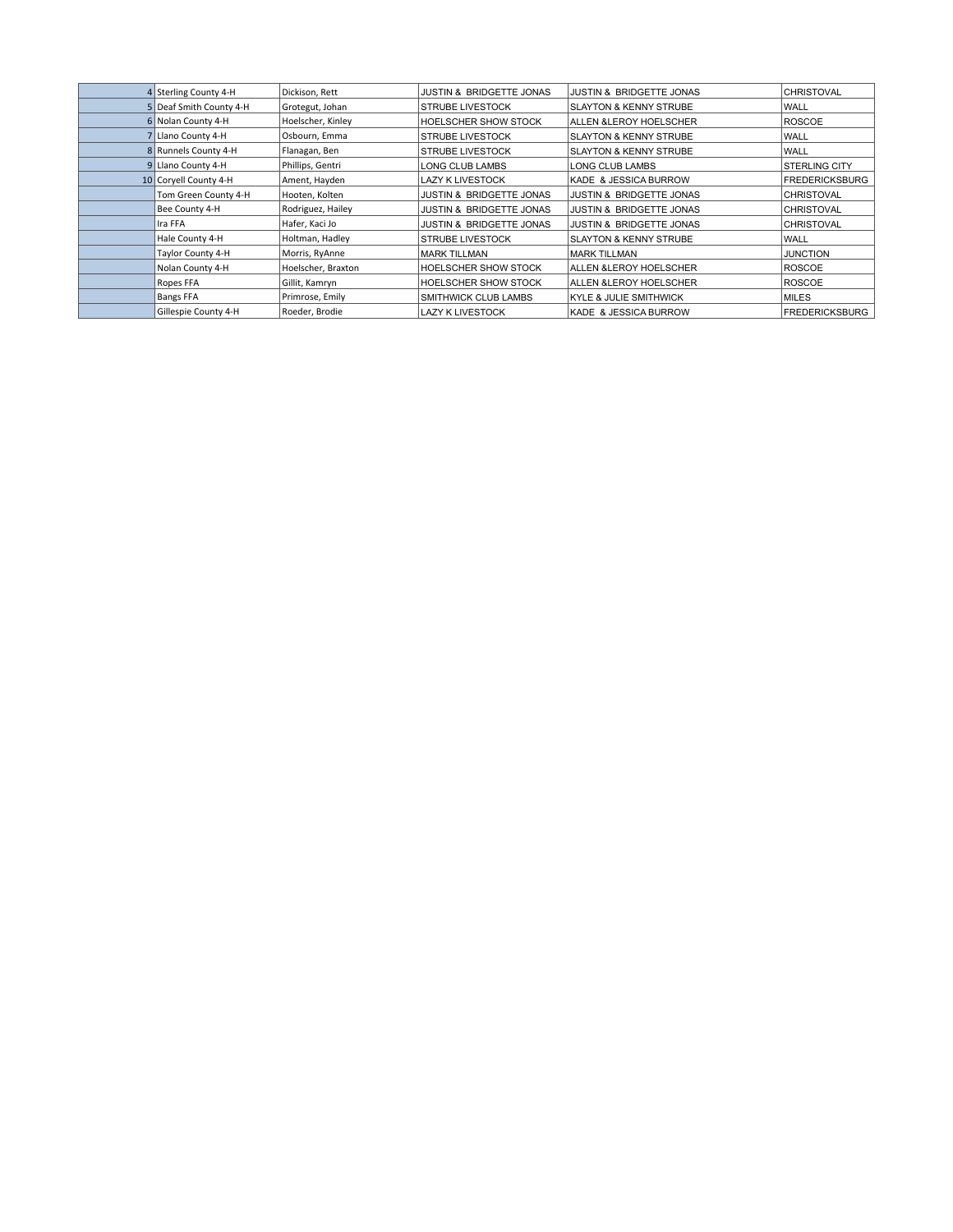| 4 Sterling County 4-H   | Dickison, Rett     | <b>JUSTIN &amp; BRIDGETTE JONAS</b> | <b>JUSTIN &amp; BRIDGETTE JONAS</b> | <b>CHRISTOVAL</b>     |
|-------------------------|--------------------|-------------------------------------|-------------------------------------|-----------------------|
| 5 Deaf Smith County 4-H | Grotegut, Johan    | <b>STRUBE LIVESTOCK</b>             | <b>SLAYTON &amp; KENNY STRUBE</b>   | WALL                  |
| 6 Nolan County 4-H      | Hoelscher, Kinley  | HOELSCHER SHOW STOCK                | ALLEN & LEROY HOELSCHER             | <b>ROSCOE</b>         |
| 7 Llano County 4-H      | Osbourn, Emma      | <b>STRUBE LIVESTOCK</b>             | <b>SLAYTON &amp; KENNY STRUBE</b>   | WALL                  |
| 8 Runnels County 4-H    | Flanagan, Ben      | <b>STRUBE LIVESTOCK</b>             | <b>SLAYTON &amp; KENNY STRUBE</b>   | WALL                  |
| 9 Llano County 4-H      | Phillips, Gentri   | LONG CLUB LAMBS                     | LONG CLUB LAMBS                     | <b>STERLING CITY</b>  |
| 10 Corvell County 4-H   | Ament, Hayden      | LAZY K LIVESTOCK                    | KADE & JESSICA BURROW               | <b>FREDERICKSBURG</b> |
| Tom Green County 4-H    | Hooten, Kolten     | <b>JUSTIN &amp; BRIDGETTE JONAS</b> | <b>JUSTIN &amp; BRIDGETTE JONAS</b> | <b>CHRISTOVAL</b>     |
| Bee County 4-H          | Rodriguez, Hailey  | <b>JUSTIN &amp; BRIDGETTE JONAS</b> | <b>JUSTIN &amp; BRIDGETTE JONAS</b> | <b>CHRISTOVAL</b>     |
| Ira FFA                 | Hafer, Kaci Jo     | JUSTIN & BRIDGETTE JONAS            | <b>JUSTIN &amp; BRIDGETTE JONAS</b> | <b>CHRISTOVAL</b>     |
| Hale County 4-H         | Holtman, Hadley    | <b>STRUBE LIVESTOCK</b>             | <b>SLAYTON &amp; KENNY STRUBE</b>   | WALL                  |
| Taylor County 4-H       | Morris, RyAnne     | <b>MARK TILLMAN</b>                 | <b>MARK TILLMAN</b>                 | <b>JUNCTION</b>       |
| Nolan County 4-H        | Hoelscher, Braxton | HOELSCHER SHOW STOCK                | ALLEN & LEROY HOELSCHER             | <b>ROSCOE</b>         |
| Ropes FFA               | Gillit, Kamryn     | HOELSCHER SHOW STOCK                | ALLEN & LEROY HOELSCHER             | <b>ROSCOE</b>         |
| <b>Bangs FFA</b>        | Primrose, Emily    | SMITHWICK CLUB LAMBS                | <b>KYLE &amp; JULIE SMITHWICK</b>   | <b>MILES</b>          |
| Gillespie County 4-H    | Roeder, Brodie     | LAZY K LIVESTOCK                    | KADE & JESSICA BURROW               | <b>FREDERICKSBURG</b> |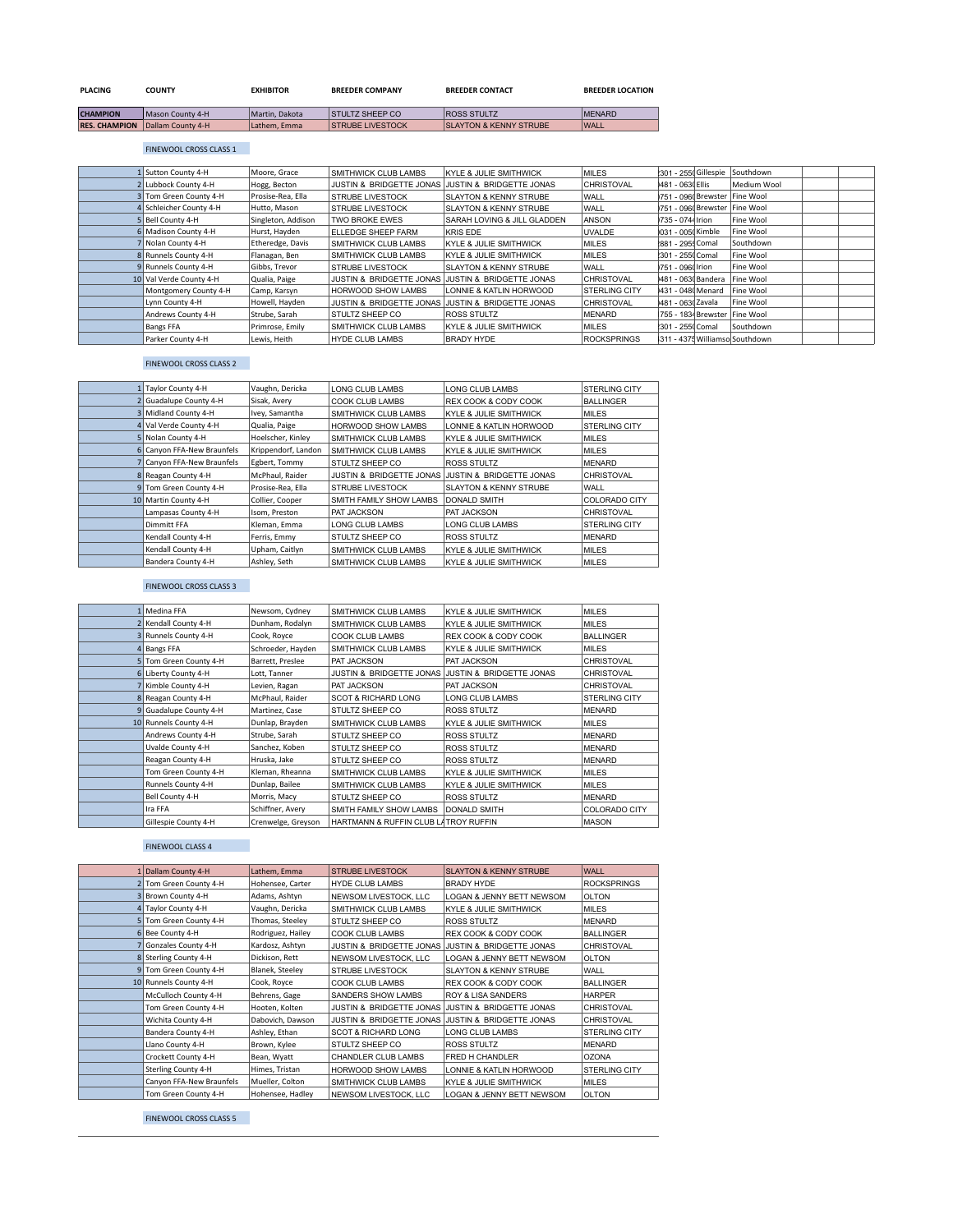| <b>PLACING</b>       | <b>COUNTY</b>     | <b>EXHIBITOR</b> | <b>BREEDER COMPANY</b>   | <b>BREEDER CONTACT</b>            | <b>BREEDER LOCATION</b> |
|----------------------|-------------------|------------------|--------------------------|-----------------------------------|-------------------------|
| <b>CHAMPION</b>      | Mason County 4-H  | Martin, Dakota   | <b>STULTZ SHEEP CO.</b>  | <b>ROSS STULTZ</b>                | <b>MENARD</b>           |
| <b>RES. CHAMPION</b> | Dallam County 4-H | Lathem. Emma     | <b>ISTRUBE LIVESTOCK</b> | <b>SLAYTON &amp; KENNY STRUBE</b> | <b>WALL</b>             |

### FINEWOOL CROSS CLASS 1

| 1 Sutton County 4-H     | Moore, Grace       | <b>SMITHWICK CLUB LAMBS</b>         | <b>KYLE &amp; JULIE SMITHWICK</b>   | <b>MILES</b>         |                    | 1301 - 255 Gillespie Southdown   |  |
|-------------------------|--------------------|-------------------------------------|-------------------------------------|----------------------|--------------------|----------------------------------|--|
| 2 Lubbock County 4-H    | Hogg, Becton       | <b>JUSTIN &amp; BRIDGETTE JONAS</b> | <b>JUSTIN &amp; BRIDGETTE JONAS</b> | <b>CHRISTOVAL</b>    | 1481 - 0630 Ellis  | Medium Wool                      |  |
| 3 Tom Green County 4-H  | Prosise-Rea, Ella  | <b>STRUBE LIVESTOCK</b>             | <b>SLAYTON &amp; KENNY STRUBE</b>   | <b>WALL</b>          |                    | 1751 - 0960 Brewster   Fine Wool |  |
| 4 Schleicher County 4-H | Hutto, Mason       | <b>STRUBE LIVESTOCK</b>             | SLAYTON & KENNY STRUBE              | <b>WALL</b>          |                    | 1751 - 0960 Brewster   Fine Wool |  |
| 5 Bell County 4-H       | Singleton, Addison | <b>TWO BROKE EWES</b>               | SARAH LOVING & JILL GLADDEN         | ANSON                | 1735 - 0744 Irion  | Fine Wool                        |  |
| 6 Madison County 4-H    | Hurst, Hayden      | FLLEDGE SHEEP FARM                  | <b>KRIS EDE</b>                     | <b>UVALDE</b>        | )031 - 005( Kimble | Fine Wool                        |  |
| 7 Nolan County 4-H      | Etheredge, Davis   | <b>SMITHWICK CLUB LAMBS</b>         | <b>KYLE &amp; JULIE SMITHWICK</b>   | <b>MILES</b>         | 881 - 295 Comal    | Southdown                        |  |
| 8 Runnels County 4-H    | Flanagan, Ben      | SMITHWICK CLUB LAMBS                | <b>KYLE &amp; JULIE SMITHWICK</b>   | <b>MILES</b>         | 1301 - 2550 Comal  | Fine Wool                        |  |
| 9 Runnels County 4-H    | Gibbs, Trevor      | <b>STRUBE LIVESTOCK</b>             | <b>SLAYTON &amp; KENNY STRUBE</b>   | <b>WALL</b>          | 1751 - 0960 Irion  | Fine Wool                        |  |
| 10 Val Verde County 4-H | Qualia, Paige      | JUSTIN & BRIDGETTE JONAS            | JUSTIN & BRIDGETTE JONAS            | <b>CHRISTOVAL</b>    | 1481 - 063 Bandera | Fine Wool                        |  |
| Montgomery County 4-H   | Camp, Karsyn       | <b>HORWOOD SHOW LAMBS</b>           | LONNIE & KATLIN HORWOOD             | <b>STERLING CITY</b> | 1431 - 0480 Menard | Fine Wool                        |  |
| Lynn County 4-H         | Howell, Hayden     | JUSTIN & BRIDGETTE JONAS            | JUSTIN & BRIDGETTE JONAS            | <b>CHRISTOVAL</b>    | 1481 - 0630 Zavala | Fine Wool                        |  |
| Andrews County 4-H      | Strube, Sarah      | <b>STULTZ SHEEP CO</b>              | ROSS STULTZ                         | MENARD               |                    | 755 - 1834 Brewster   Fine Wool  |  |
| <b>Bangs FFA</b>        | Primrose, Emily    | SMITHWICK CLUB LAMBS                | <b>KYLE &amp; JULIE SMITHWICK</b>   | MILES                | 1301 - 2550 Comal  | Southdown                        |  |
| Parker County 4-H       | Lewis, Heith       | <b>HYDE CLUB LAMBS</b>              | <b>BRADY HYDE</b>                   | <b>ROCKSPRINGS</b>   |                    | 311 - 4375 Williamso Southdown   |  |

### FINEWOOL CROSS CLASS 2

| 1 Taylor County 4-H        | Vaughn, Dericka     | LONG CLUB LAMBS             | LONG CLUB LAMBS                   | <b>STERLING CITY</b> |
|----------------------------|---------------------|-----------------------------|-----------------------------------|----------------------|
| 2 Guadalupe County 4-H     | Sisak, Avery        | COOK CLUB LAMBS             | REX COOK & CODY COOK              | <b>BALLINGER</b>     |
| 3 Midland County 4-H       | Ivey, Samantha      | SMITHWICK CLUB LAMBS        | <b>KYLE &amp; JULIE SMITHWICK</b> | <b>MILES</b>         |
| 4 Val Verde County 4-H     | Qualia, Paige       | <b>HORWOOD SHOW LAMBS</b>   | LONNIE & KATLIN HORWOOD           | <b>STERLING CITY</b> |
| 5 Nolan County 4-H         | Hoelscher, Kinley   | <b>SMITHWICK CLUB LAMBS</b> | <b>KYLE &amp; JULIE SMITHWICK</b> | <b>MILES</b>         |
| 6 Canyon FFA-New Braunfels | Krippendorf, Landon | SMITHWICK CLUB LAMBS        | <b>KYLE &amp; JULIE SMITHWICK</b> | <b>MILES</b>         |
| Canvon FFA-New Braunfels   | Egbert, Tommy       | STULTZ SHEEP CO             | ROSS STULTZ                       | <b>MENARD</b>        |
| 8 Reagan County 4-H        | McPhaul, Raider     | JUSTIN & BRIDGETTE JONAS    | JUSTIN & BRIDGETTE JONAS          | CHRISTOVAL           |
| 9 Tom Green County 4-H     | Prosise-Rea. Ella   | <b>STRUBE LIVESTOCK</b>     | <b>SLAYTON &amp; KENNY STRUBE</b> | <b>WALL</b>          |
| 10 Martin County 4-H       | Collier, Cooper     | SMITH FAMILY SHOW LAMBS     | DONALD SMITH                      | COLORADO CITY        |
| Lampasas County 4-H        | Isom, Preston       | PAT JACKSON                 | PAT JACKSON                       | <b>CHRISTOVAL</b>    |
| Dimmitt FFA                | Kleman, Emma        | LONG CLUB LAMBS             | <b>LONG CLUB LAMBS</b>            | <b>STERLING CITY</b> |
| Kendall County 4-H         | Ferris, Emmy        | STULTZ SHEEP CO             | ROSS STULTZ                       | <b>MENARD</b>        |
| Kendall County 4-H         | Upham, Caitlyn      | <b>SMITHWICK CLUB LAMBS</b> | <b>KYLE &amp; JULIE SMITHWICK</b> | <b>MILES</b>         |
| Bandera County 4-H         | Ashley, Seth        | SMITHWICK CLUB LAMBS        | <b>KYLE &amp; JULIE SMITHWICK</b> | <b>MILES</b>         |

## FINEWOOL CROSS CLASS 3

| Medina FFA             | Newsom, Cydney     | SMITHWICK CLUB LAMBS                 | <b>KYLE &amp; JULIE SMITHWICK</b>                 | <b>MILES</b>         |
|------------------------|--------------------|--------------------------------------|---------------------------------------------------|----------------------|
| 2 Kendall County 4-H   | Dunham, Rodalyn    | SMITHWICK CLUB LAMBS                 | <b>KYLE &amp; JULIE SMITHWICK</b>                 | <b>MILES</b>         |
| Runnels County 4-H     | Cook, Royce        | COOK CLUB LAMBS                      | <b>REX COOK &amp; CODY COOK</b>                   | <b>BALLINGER</b>     |
| 4 Bangs FFA            | Schroeder, Hayden  | SMITHWICK CLUB LAMBS                 | <b>KYLE &amp; JULIE SMITHWICK</b>                 | <b>MILES</b>         |
| 5 Tom Green County 4-H | Barrett, Preslee   | PAT JACKSON                          | <b>PAT JACKSON</b>                                | CHRISTOVAL           |
| 6 Liberty County 4-H   | Lott, Tanner       |                                      | JUSTIN & BRIDGETTE JONAS JUSTIN & BRIDGETTE JONAS | CHRISTOVAL           |
| 7 Kimble County 4-H    | Levien, Ragan      | PAT JACKSON                          | PAT JACKSON                                       | <b>CHRISTOVAL</b>    |
| 8 Reagan County 4-H    | McPhaul, Raider    | <b>SCOT &amp; RICHARD LONG</b>       | LONG CLUB LAMBS                                   | <b>STERLING CITY</b> |
| Guadalupe County 4-H   | Martinez, Case     | STULTZ SHEEP CO                      | <b>ROSS STULTZ</b>                                | <b>MENARD</b>        |
| 10 Runnels County 4-H  | Dunlap, Brayden    | SMITHWICK CLUB LAMBS                 | <b>KYLE &amp; JULIE SMITHWICK</b>                 | <b>MILES</b>         |
| Andrews County 4-H     | Strube, Sarah      | STULTZ SHEEP CO                      | <b>ROSS STULTZ</b>                                | <b>MENARD</b>        |
| Uvalde County 4-H      | Sanchez, Koben     | STULTZ SHEEP CO                      | <b>ROSS STULTZ</b>                                | <b>MENARD</b>        |
| Reagan County 4-H      | Hruska, Jake       | STULTZ SHEEP CO                      | <b>ROSS STULTZ</b>                                | <b>MENARD</b>        |
| Tom Green County 4-H   | Kleman, Rheanna    | SMITHWICK CLUB LAMBS                 | <b>KYLE &amp; JULIE SMITHWICK</b>                 | <b>MILES</b>         |
| Runnels County 4-H     | Dunlap, Bailee     | SMITHWICK CLUB LAMBS                 | <b>KYLE &amp; JULIE SMITHWICK</b>                 | <b>MILES</b>         |
| Bell County 4-H        | Morris, Macy       | STULTZ SHEEP CO                      | ROSS STULTZ                                       | <b>MENARD</b>        |
| Ira FFA                | Schiffner, Avery   | SMITH FAMILY SHOW LAMBS              | <b>DONALD SMITH</b>                               | COLORADO CITY        |
| Gillespie County 4-H   | Crenwelge, Greyson | HARTMANN & RUFFIN CLUB LATROY RUFFIN |                                                   | <b>MASON</b>         |
|                        |                    |                                      |                                                   |                      |

### FINEWOOL CLASS 4

| 1 Dallam County 4-H      | Lathem, Emma      | <b>STRUBE LIVESTOCK</b>        | <b>SLAYTON &amp; KENNY STRUBE</b>                 | <b>WALL</b>          |
|--------------------------|-------------------|--------------------------------|---------------------------------------------------|----------------------|
| 2 Tom Green County 4-H   | Hohensee, Carter  | <b>HYDE CLUB LAMBS</b>         | <b>BRADY HYDE</b>                                 | <b>ROCKSPRINGS</b>   |
| 3 Brown County 4-H       | Adams, Ashtyn     | NEWSOM LIVESTOCK, LLC          | LOGAN & JENNY BETT NEWSOM                         | <b>OLTON</b>         |
| 4 Taylor County 4-H      | Vaughn, Dericka   | SMITHWICK CLUB LAMBS           | <b>KYLE &amp; JULIE SMITHWICK</b>                 | <b>MILES</b>         |
| 5 Tom Green County 4-H   | Thomas, Steeley   | STULTZ SHEEP CO                | ROSS STULTZ                                       | <b>MENARD</b>        |
| 6 Bee County 4-H         | Rodriguez, Hailey | <b>COOK CLUB LAMBS</b>         | <b>REX COOK &amp; CODY COOK</b>                   | <b>BALLINGER</b>     |
| 7 Gonzales County 4-H    | Kardosz, Ashtyn   | JUSTIN & BRIDGETTE JONAS       | JUSTIN & BRIDGETTE JONAS                          | <b>CHRISTOVAL</b>    |
| 8 Sterling County 4-H    | Dickison, Rett    | NEWSOM LIVESTOCK, LLC          | LOGAN & JENNY BETT NEWSOM                         | <b>OLTON</b>         |
| 9 Tom Green County 4-H   | Blanek, Steeley   | <b>STRUBE LIVESTOCK</b>        | <b>SLAYTON &amp; KENNY STRUBE</b>                 | WALL                 |
| 10 Runnels County 4-H    | Cook, Royce       | <b>COOK CLUB LAMBS</b>         | <b>REX COOK &amp; CODY COOK</b>                   | <b>BALLINGER</b>     |
| McCulloch County 4-H     | Behrens, Gage     | SANDERS SHOW LAMBS             | ROY & LISA SANDERS                                | <b>HARPER</b>        |
| Tom Green County 4-H     | Hooten, Kolten    | JUSTIN & BRIDGETTE JONAS       | JUSTIN & BRIDGETTE JONAS                          | <b>CHRISTOVAL</b>    |
| Wichita County 4-H       | Dabovich, Dawson  |                                | JUSTIN & BRIDGETTE JONAS JUSTIN & BRIDGETTE JONAS | CHRISTOVAL           |
| Bandera County 4-H       | Ashley, Ethan     | <b>SCOT &amp; RICHARD LONG</b> | <b>LONG CLUB LAMBS</b>                            | <b>STERLING CITY</b> |
| Llano County 4-H         | Brown, Kylee      | STULTZ SHEEP CO                | <b>ROSS STULTZ</b>                                | <b>MENARD</b>        |
| Crockett County 4-H      | Bean, Wyatt       | CHANDLER CLUB LAMBS            | <b>FRED H CHANDLER</b>                            | <b>OZONA</b>         |
| Sterling County 4-H      | Himes, Tristan    | <b>HORWOOD SHOW LAMBS</b>      | LONNIE & KATLIN HORWOOD                           | <b>STERLING CITY</b> |
| Canyon FFA-New Braunfels | Mueller, Colton   | <b>SMITHWICK CLUB LAMBS</b>    | <b>KYLE &amp; JULIE SMITHWICK</b>                 | <b>MILES</b>         |
| Tom Green County 4-H     | Hohensee, Hadley  | NEWSOM LIVESTOCK, LLC          | <b>LOGAN &amp; JENNY BETT NEWSOM</b>              | <b>OLTON</b>         |

FINEWOOL CROSS CLASS 5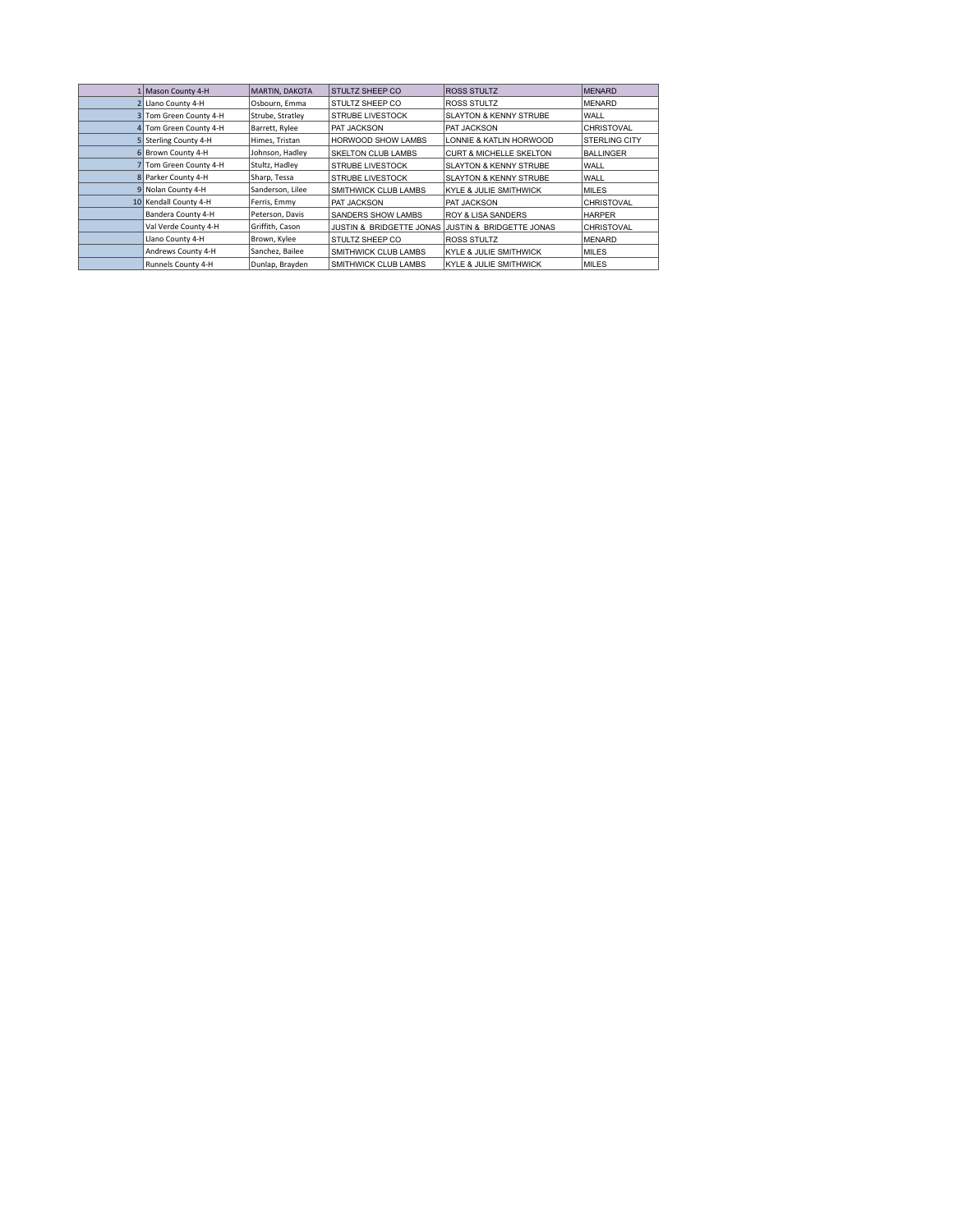| 1 Mason County 4-H     | MARTIN, DAKOTA   | STULTZ SHEEP CO             | <b>ROSS STULTZ</b>                                | <b>MENARD</b>        |
|------------------------|------------------|-----------------------------|---------------------------------------------------|----------------------|
| 2 Llano County 4-H     | Osbourn, Emma    | STULTZ SHEEP CO             | <b>ROSS STULTZ</b>                                | <b>MENARD</b>        |
| 3 Tom Green County 4-H | Strube, Stratley | STRUBE LIVESTOCK            | <b>SLAYTON &amp; KENNY STRUBE</b>                 | <b>WALL</b>          |
| 4 Tom Green County 4-H | Barrett, Rylee   | PAT JACKSON                 | <b>PAT JACKSON</b>                                | CHRISTOVAL           |
| 5 Sterling County 4-H  | Himes, Tristan   | <b>HORWOOD SHOW LAMBS</b>   | LONNIE & KATLIN HORWOOD                           | <b>STERLING CITY</b> |
| 6 Brown County 4-H     | Johnson, Hadley  | <b>SKELTON CLUB LAMBS</b>   | <b>CURT &amp; MICHELLE SKELTON</b>                | <b>BALLINGER</b>     |
| 7 Tom Green County 4-H | Stultz, Hadley   | <b>STRUBE LIVESTOCK</b>     | SLAYTON & KENNY STRUBE                            | WALL                 |
| 8 Parker County 4-H    | Sharp, Tessa     | <b>STRUBE LIVESTOCK</b>     | <b>SLAYTON &amp; KENNY STRUBE</b>                 | WALL                 |
| 9 Nolan County 4-H     | Sanderson, Lilee | SMITHWICK CLUB LAMBS        | KYLE & JULIE SMITHWICK                            | <b>MILES</b>         |
| 10 Kendall County 4-H  | Ferris, Emmy     | PAT JACKSON                 | <b>PAT JACKSON</b>                                | CHRISTOVAL           |
| Bandera County 4-H     | Peterson, Davis  | SANDERS SHOW LAMBS          | <b>ROY &amp; LISA SANDERS</b>                     | <b>HARPER</b>        |
| Val Verde County 4-H   | Griffith, Cason  |                             | JUSTIN & BRIDGETTE JONAS JUSTIN & BRIDGETTE JONAS | <b>CHRISTOVAL</b>    |
| Llano County 4-H       | Brown, Kylee     | STULTZ SHEEP CO             | <b>ROSS STULTZ</b>                                | <b>MENARD</b>        |
| Andrews County 4-H     | Sanchez, Bailee  | <b>SMITHWICK CLUB LAMBS</b> | KYLE & JULIE SMITHWICK                            | <b>MILES</b>         |
| Runnels County 4-H     | Dunlap, Brayden  | <b>SMITHWICK CLUB LAMBS</b> | KYLE & JULIE SMITHWICK                            | MILES                |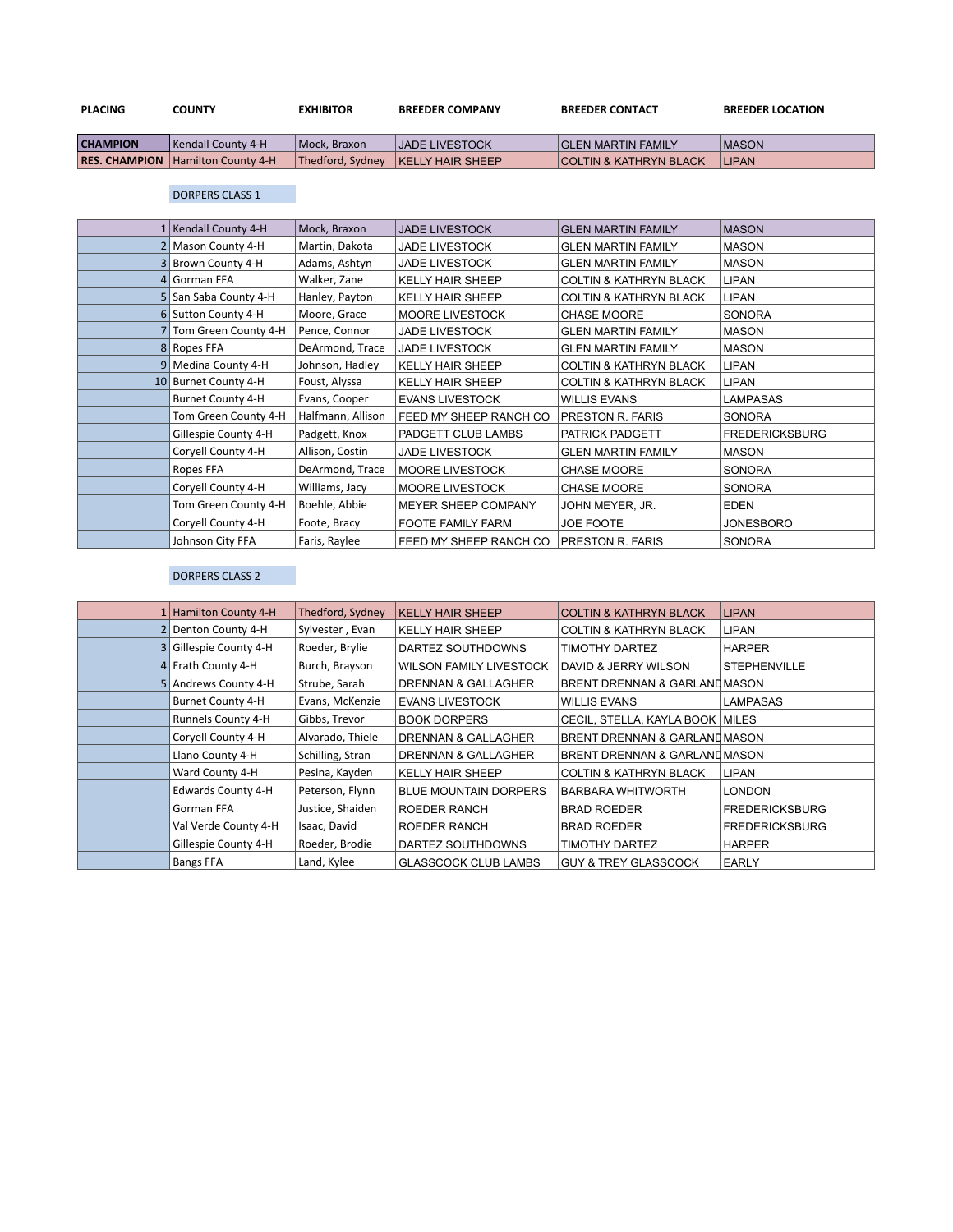| <b>PLACING</b>  | COUNTY                                     | EXHIBITOR        | <b>BREEDER COMPANY</b>  | <b>BREEDER CONTACT</b>            | <b>BREEDER LOCATION</b> |
|-----------------|--------------------------------------------|------------------|-------------------------|-----------------------------------|-------------------------|
| <b>CHAMPION</b> | l Kendall County 4-H                       | Mock. Braxon     | <b>JADE LIVESTOCK</b>   | <b>GLEN MARTIN FAMILY</b>         | <b>IMASON</b>           |
|                 | <b>RES. CHAMPION   Hamilton County 4-H</b> | Thedford, Sydney | <b>KELLY HAIR SHEEP</b> | <b>COLTIN &amp; KATHRYN BLACK</b> | <b>LIPAN</b>            |

## DORPERS CLASS 1

| 1 Kendall County 4-H   | Mock, Braxon      | <b>JADE LIVESTOCK</b>   | <b>GLEN MARTIN FAMILY</b>         | <b>MASON</b>          |
|------------------------|-------------------|-------------------------|-----------------------------------|-----------------------|
| Mason County 4-H       | Martin, Dakota    | <b>JADE LIVESTOCK</b>   | <b>GLEN MARTIN FAMILY</b>         | <b>MASON</b>          |
| Brown County 4-H       | Adams, Ashtyn     | <b>JADE LIVESTOCK</b>   | <b>GLEN MARTIN FAMILY</b>         | <b>MASON</b>          |
| 4 Gorman FFA           | Walker, Zane      | <b>KELLY HAIR SHEEP</b> | <b>COLTIN &amp; KATHRYN BLACK</b> | <b>LIPAN</b>          |
| 5 San Saba County 4-H  | Hanley, Payton    | <b>KELLY HAIR SHEEP</b> | <b>COLTIN &amp; KATHRYN BLACK</b> | <b>LIPAN</b>          |
| 6 Sutton County 4-H    | Moore, Grace      | <b>MOORE LIVESTOCK</b>  | <b>CHASE MOORE</b>                | <b>SONORA</b>         |
| 7 Tom Green County 4-H | Pence, Connor     | <b>JADE LIVESTOCK</b>   | <b>GLEN MARTIN FAMILY</b>         | <b>MASON</b>          |
| 8 Ropes FFA            | DeArmond, Trace   | <b>JADE LIVESTOCK</b>   | <b>GLEN MARTIN FAMILY</b>         | <b>MASON</b>          |
| 9 Medina County 4-H    | Johnson, Hadley   | <b>KELLY HAIR SHEEP</b> | <b>COLTIN &amp; KATHRYN BLACK</b> | <b>LIPAN</b>          |
| 10 Burnet County 4-H   | Foust, Alyssa     | <b>KELLY HAIR SHEEP</b> | <b>COLTIN &amp; KATHRYN BLACK</b> | <b>LIPAN</b>          |
| Burnet County 4-H      | Evans, Cooper     | <b>EVANS LIVESTOCK</b>  | <b>WILLIS EVANS</b>               | <b>LAMPASAS</b>       |
| Tom Green County 4-H   | Halfmann, Allison | FEED MY SHEEP RANCH CO  | PRESTON R. FARIS                  | <b>SONORA</b>         |
| Gillespie County 4-H   | Padgett, Knox     | PADGETT CLUB LAMBS      | PATRICK PADGETT                   | <b>FREDERICKSBURG</b> |
| Coryell County 4-H     | Allison, Costin   | <b>JADE LIVESTOCK</b>   | <b>GLEN MARTIN FAMILY</b>         | <b>MASON</b>          |
| Ropes FFA              | DeArmond, Trace   | <b>MOORE LIVESTOCK</b>  | <b>CHASE MOORE</b>                | <b>SONORA</b>         |
| Coryell County 4-H     | Williams, Jacy    | MOORE LIVESTOCK         | <b>CHASE MOORE</b>                | <b>SONORA</b>         |
| Tom Green County 4-H   | Boehle, Abbie     | MEYER SHEEP COMPANY     | JOHN MEYER, JR.                   | <b>EDEN</b>           |
| Coryell County 4-H     | Foote, Bracy      | FOOTE FAMILY FARM       | JOE FOOTE                         | <b>JONESBORO</b>      |
| Johnson City FFA       | Faris, Raylee     | FEED MY SHEEP RANCH CO  | PRESTON R. FARIS                  | <b>SONORA</b>         |

## DORPERS CLASS 2

| Hamilton County 4-H       | Thedford, Sydney | <b>KELLY HAIR SHEEP</b>        | <b>COLTIN &amp; KATHRYN BLACK</b> | <b>LIPAN</b>          |
|---------------------------|------------------|--------------------------------|-----------------------------------|-----------------------|
| 2 Denton County 4-H       | Sylvester, Evan  | <b>KELLY HAIR SHEEP</b>        | <b>COLTIN &amp; KATHRYN BLACK</b> | <b>LIPAN</b>          |
| Gillespie County 4-H      | Roeder, Brylie   | DARTEZ SOUTHDOWNS              | TIMOTHY DARTEZ                    | <b>HARPER</b>         |
| Erath County 4-H          | Burch, Brayson   | <b>WILSON FAMILY LIVESTOCK</b> | DAVID & JERRY WILSON              | <b>STEPHENVILLE</b>   |
| 5 Andrews County 4-H      | Strube, Sarah    | <b>DRENNAN &amp; GALLAGHER</b> | BRENT DRENNAN & GARLAND MASON     |                       |
| Burnet County 4-H         | Evans, McKenzie  | <b>EVANS LIVESTOCK</b>         | <b>WILLIS EVANS</b>               | LAMPASAS              |
| Runnels County 4-H        | Gibbs, Trevor    | <b>BOOK DORPERS</b>            | CECIL, STELLA, KAYLA BOOK   MILES |                       |
| Corvell County 4-H        | Alvarado, Thiele | <b>DRENNAN &amp; GALLAGHER</b> | BRENT DRENNAN & GARLAND MASON     |                       |
| Llano County 4-H          | Schilling, Stran | DRENNAN & GALLAGHER            | BRENT DRENNAN & GARLAND MASON     |                       |
| Ward County 4-H           | Pesina, Kayden   | <b>KELLY HAIR SHEEP</b>        | <b>COLTIN &amp; KATHRYN BLACK</b> | <b>LIPAN</b>          |
| <b>Edwards County 4-H</b> | Peterson, Flynn  | <b>BLUE MOUNTAIN DORPERS</b>   | <b>BARBARA WHITWORTH</b>          | <b>LONDON</b>         |
| Gorman FFA                | Justice, Shaiden | ROEDER RANCH                   | <b>BRAD ROEDER</b>                | <b>FREDERICKSBURG</b> |
| Val Verde County 4-H      | Isaac, David     | ROEDER RANCH                   | <b>BRAD ROEDER</b>                | <b>FREDERICKSBURG</b> |
| Gillespie County 4-H      | Roeder, Brodie   | DARTEZ SOUTHDOWNS              | TIMOTHY DARTEZ                    | <b>HARPER</b>         |
| Bangs FFA                 | Land, Kylee      | <b>GLASSCOCK CLUB LAMBS</b>    | <b>GUY &amp; TREY GLASSCOCK</b>   | <b>EARLY</b>          |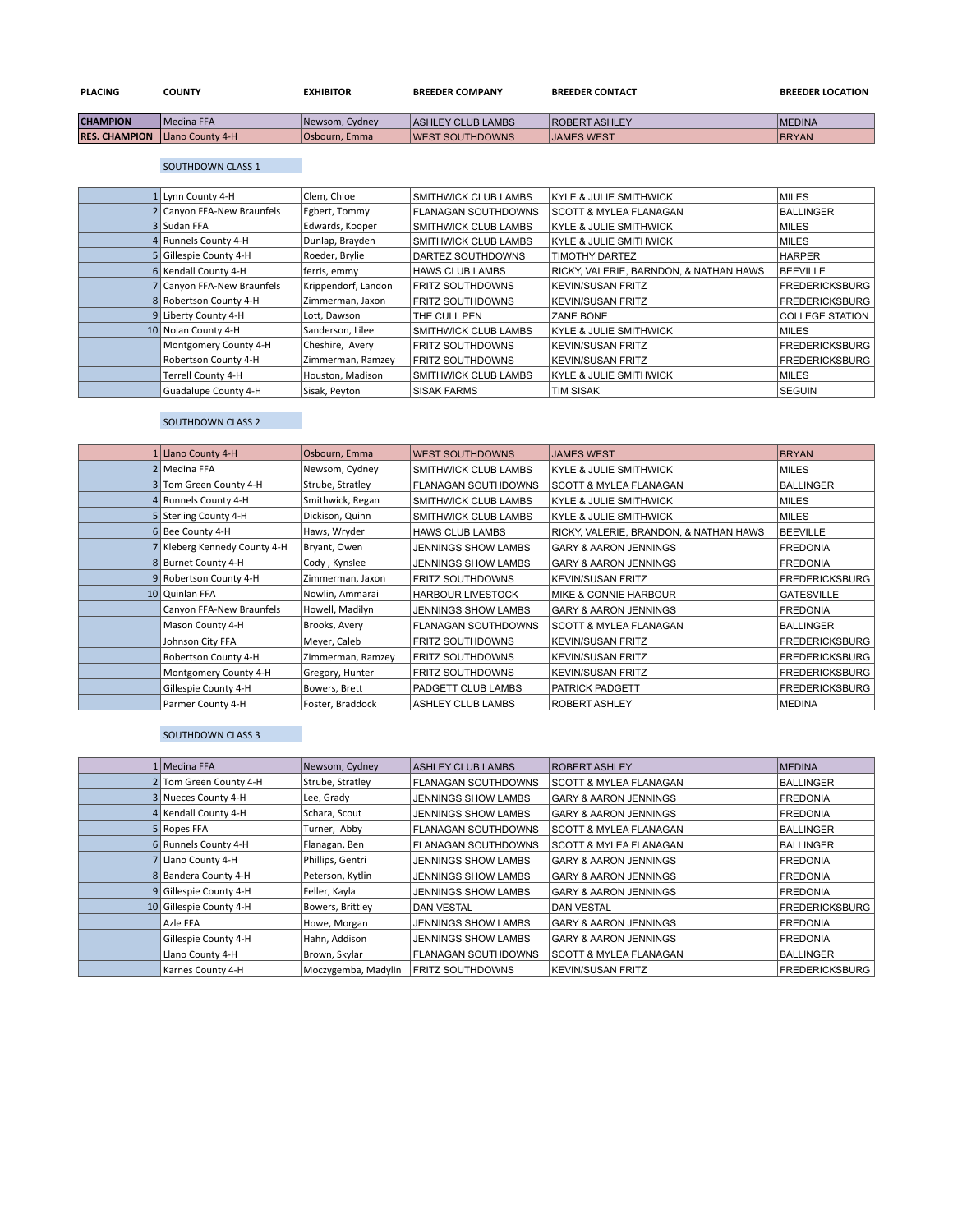| <b>PLACING</b>       | <b>COUNTY</b>            | <b>EXHIBITOR</b> | <b>BREEDER COMPANY</b>   | <b>BREEDER CONTACT</b> | <b>BREEDER LOCATION</b> |
|----------------------|--------------------------|------------------|--------------------------|------------------------|-------------------------|
| <b>CHAMPION</b>      | Medina FFA               | Newsom, Cydney   | <b>ASHLEY CLUB LAMBS</b> | <b>ROBERT ASHLEY</b>   | <b>MEDINA</b>           |
| <b>RES. CHAMPION</b> | <b>ILlano County 4-H</b> | Osbourn, Emma    | <b>IWEST SOUTHDOWNS</b>  | <b>JAMES WEST</b>      | <b>BRYAN</b>            |

## SOUTHDOWN CLASS 1

| 1 Lynn County 4-H          | Clem, Chloe         | <b>SMITHWICK CLUB LAMBS</b> | <b>KYLE &amp; JULIE SMITHWICK</b>      | <b>MILES</b>           |
|----------------------------|---------------------|-----------------------------|----------------------------------------|------------------------|
| 2 Canyon FFA-New Braunfels | Egbert, Tommy       | <b>FLANAGAN SOUTHDOWNS</b>  | <b>SCOTT &amp; MYLEA FLANAGAN</b>      | <b>BALLINGER</b>       |
| 3 Sudan FFA                | Edwards, Kooper     | <b>SMITHWICK CLUB LAMBS</b> | <b>KYLE &amp; JULIE SMITHWICK</b>      | <b>MILES</b>           |
| 4 Runnels County 4-H       | Dunlap, Brayden     | <b>SMITHWICK CLUB LAMBS</b> | <b>KYLE &amp; JULIE SMITHWICK</b>      | <b>MILES</b>           |
| 5 Gillespie County 4-H     | Roeder, Brylie      | DARTEZ SOUTHDOWNS           | <b>TIMOTHY DARTEZ</b>                  | <b>HARPER</b>          |
| 6 Kendall County 4-H       | ferris, emmy        | <b>HAWS CLUB LAMBS</b>      | RICKY, VALERIE, BARNDON, & NATHAN HAWS | <b>BEEVILLE</b>        |
| Canyon FFA-New Braunfels   | Krippendorf, Landon | <b>FRITZ SOUTHDOWNS</b>     | <b>KEVIN/SUSAN FRITZ</b>               | <b>FREDERICKSBURG</b>  |
| 8 Robertson County 4-H     | Zimmerman, Jaxon    | <b>FRITZ SOUTHDOWNS</b>     | <b>KEVIN/SUSAN FRITZ</b>               | <b>FREDERICKSBURG</b>  |
| 9 Liberty County 4-H       | Lott, Dawson        | THE CULL PEN                | ZANE BONE                              | <b>COLLEGE STATION</b> |
| 10 Nolan County 4-H        | Sanderson, Lilee    | <b>SMITHWICK CLUB LAMBS</b> | <b>KYLE &amp; JULIE SMITHWICK</b>      | <b>MILES</b>           |
| Montgomery County 4-H      | Cheshire, Avery     | <b>FRITZ SOUTHDOWNS</b>     | <b>KEVIN/SUSAN FRITZ</b>               | <b>FREDERICKSBURG</b>  |
| Robertson County 4-H       | Zimmerman, Ramzey   | <b>FRITZ SOUTHDOWNS</b>     | <b>KEVIN/SUSAN FRITZ</b>               | <b>FREDERICKSBURG</b>  |
| <b>Terrell County 4-H</b>  | Houston, Madison    | <b>SMITHWICK CLUB LAMBS</b> | KYLE & JULIE SMITHWICK                 | <b>MILES</b>           |
| Guadalupe County 4-H       | Sisak, Peyton       | <b>SISAK FARMS</b>          | <b>TIM SISAK</b>                       | <b>SEGUIN</b>          |

## SOUTHDOWN CLASS 2

| 1 Llano County 4-H           | Osbourn, Emma     | <b>WEST SOUTHDOWNS</b>      | <b>JAMES WEST</b>                      | <b>BRYAN</b>          |
|------------------------------|-------------------|-----------------------------|----------------------------------------|-----------------------|
| 2 Medina FFA                 | Newsom, Cydney    | <b>SMITHWICK CLUB LAMBS</b> | <b>KYLE &amp; JULIE SMITHWICK</b>      | <b>MILES</b>          |
| 3 Tom Green County 4-H       | Strube, Stratley  | <b>FLANAGAN SOUTHDOWNS</b>  | SCOTT & MYLEA FLANAGAN                 | <b>BALLINGER</b>      |
| 4 Runnels County 4-H         | Smithwick, Regan  | <b>SMITHWICK CLUB LAMBS</b> | <b>KYLE &amp; JULIE SMITHWICK</b>      | <b>MILES</b>          |
| 5 Sterling County 4-H        | Dickison, Quinn   | SMITHWICK CLUB LAMBS        | <b>KYLE &amp; JULIE SMITHWICK</b>      | <b>MILES</b>          |
| 6 Bee County 4-H             | Haws, Wryder      | <b>HAWS CLUB LAMBS</b>      | RICKY, VALERIE, BRANDON, & NATHAN HAWS | <b>BEEVILLE</b>       |
| 7 Kleberg Kennedy County 4-H | Bryant, Owen      | <b>JENNINGS SHOW LAMBS</b>  | <b>GARY &amp; AARON JENNINGS</b>       | <b>FREDONIA</b>       |
| 8 Burnet County 4-H          | Cody, Kynslee     | <b>JENNINGS SHOW LAMBS</b>  | <b>GARY &amp; AARON JENNINGS</b>       | <b>FREDONIA</b>       |
| 9 Robertson County 4-H       | Zimmerman, Jaxon  | <b>FRITZ SOUTHDOWNS</b>     | <b>KEVIN/SUSAN FRITZ</b>               | <b>FREDERICKSBURG</b> |
| 10 Quinlan FFA               | Nowlin, Ammarai   | <b>HARBOUR LIVESTOCK</b>    | <b>MIKE &amp; CONNIE HARBOUR</b>       | <b>GATESVILLE</b>     |
| Canyon FFA-New Braunfels     | Howell, Madilyn   | <b>JENNINGS SHOW LAMBS</b>  | <b>GARY &amp; AARON JENNINGS</b>       | <b>FREDONIA</b>       |
| Mason County 4-H             | Brooks, Avery     | <b>FLANAGAN SOUTHDOWNS</b>  | <b>SCOTT &amp; MYLEA FLANAGAN</b>      | <b>BALLINGER</b>      |
| Johnson City FFA             | Meyer, Caleb      | <b>FRITZ SOUTHDOWNS</b>     | <b>KEVIN/SUSAN FRITZ</b>               | <b>FREDERICKSBURG</b> |
| Robertson County 4-H         | Zimmerman, Ramzey | <b>FRITZ SOUTHDOWNS</b>     | <b>KEVIN/SUSAN FRITZ</b>               | <b>FREDERICKSBURG</b> |
| Montgomery County 4-H        | Gregory, Hunter   | <b>FRITZ SOUTHDOWNS</b>     | <b>KEVIN/SUSAN FRITZ</b>               | <b>FREDERICKSBURG</b> |
| Gillespie County 4-H         | Bowers, Brett     | PADGETT CLUB LAMBS          | PATRICK PADGETT                        | <b>FREDERICKSBURG</b> |
| Parmer County 4-H            | Foster, Braddock  | <b>ASHLEY CLUB LAMBS</b>    | ROBERT ASHLEY                          | <b>MEDINA</b>         |

## SOUTHDOWN CLASS 3

| 1   Medina FFA          | Newsom, Cydney      | ASHLEY CLUB LAMBS          | ROBERT ASHLEY                     | <b>MEDINA</b>         |
|-------------------------|---------------------|----------------------------|-----------------------------------|-----------------------|
| 2 Tom Green County 4-H  | Strube, Stratley    | <b>FLANAGAN SOUTHDOWNS</b> | <b>SCOTT &amp; MYLEA FLANAGAN</b> | <b>BALLINGER</b>      |
| 3 Nueces County 4-H     | Lee, Grady          | <b>JENNINGS SHOW LAMBS</b> | <b>GARY &amp; AARON JENNINGS</b>  | <b>FREDONIA</b>       |
| 4 Kendall County 4-H    | Schara, Scout       | JENNINGS SHOW LAMBS        | <b>GARY &amp; AARON JENNINGS</b>  | <b>FREDONIA</b>       |
| 5 Ropes FFA             | Turner, Abby        | <b>FLANAGAN SOUTHDOWNS</b> | <b>SCOTT &amp; MYLEA FLANAGAN</b> | <b>BALLINGER</b>      |
| 6 Runnels County 4-H    | Flanagan, Ben       | <b>FLANAGAN SOUTHDOWNS</b> | SCOTT & MYLEA FLANAGAN            | <b>BALLINGER</b>      |
| Llano County 4-H        | Phillips, Gentri    | <b>JENNINGS SHOW LAMBS</b> | <b>GARY &amp; AARON JENNINGS</b>  | <b>FREDONIA</b>       |
| 8 Bandera County 4-H    | Peterson, Kytlin    | <b>JENNINGS SHOW LAMBS</b> | <b>GARY &amp; AARON JENNINGS</b>  | <b>FREDONIA</b>       |
| 9 Gillespie County 4-H  | Feller, Kayla       | JENNINGS SHOW LAMBS        | <b>GARY &amp; AARON JENNINGS</b>  | <b>FREDONIA</b>       |
| 10 Gillespie County 4-H | Bowers, Brittley    | <b>DAN VESTAL</b>          | <b>DAN VESTAL</b>                 | <b>FREDERICKSBURG</b> |
| Azle FFA                | Howe, Morgan        | <b>JENNINGS SHOW LAMBS</b> | <b>GARY &amp; AARON JENNINGS</b>  | <b>FREDONIA</b>       |
| Gillespie County 4-H    | Hahn, Addison       | <b>JENNINGS SHOW LAMBS</b> | <b>GARY &amp; AARON JENNINGS</b>  | <b>FREDONIA</b>       |
| Llano County 4-H        | Brown, Skylar       | <b>FLANAGAN SOUTHDOWNS</b> | <b>SCOTT &amp; MYLEA FLANAGAN</b> | <b>BALLINGER</b>      |
| Karnes County 4-H       | Moczygemba, Madylin | <b>FRITZ SOUTHDOWNS</b>    | <b>KEVIN/SUSAN FRITZ</b>          | <b>FREDERICKSBURG</b> |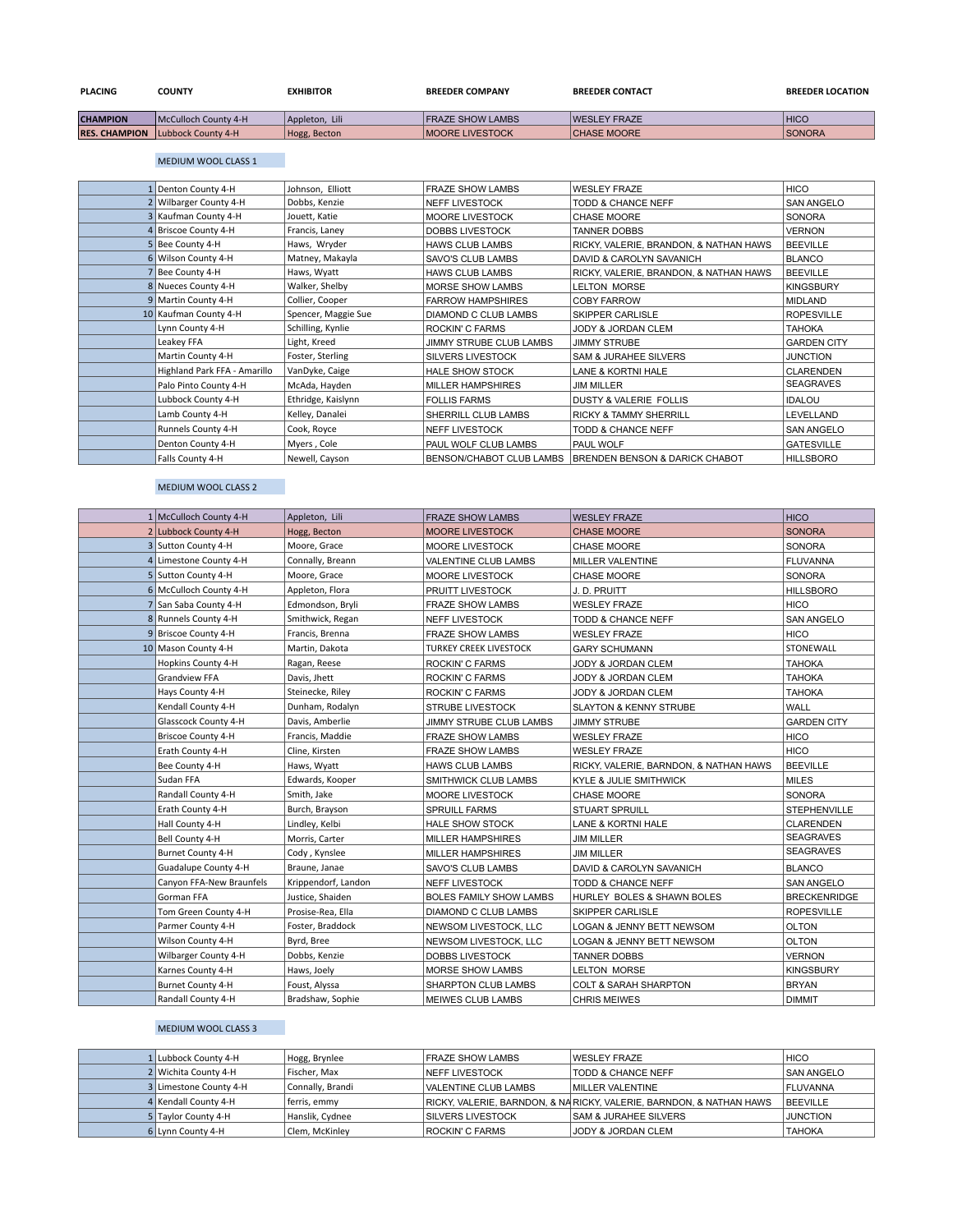| <b>PLACING</b>  | COUNTY                                  | <b>EXHIBITOR</b> | <b>BREEDER COMPANY</b>  | <b>BREEDER CONTACT</b> | <b>BREEDER LOCATION</b> |
|-----------------|-----------------------------------------|------------------|-------------------------|------------------------|-------------------------|
| <b>CHAMPION</b> | McCulloch County 4-H                    | Appleton, Lili   | <b>FRAZE SHOW LAMBS</b> | <b>WESLEY FRAZE</b>    | <b>HICO</b>             |
|                 | <b>RES. CHAMPION</b> Lubbock County 4-H | Hogg, Becton     | <b>MOORE LIVESTOCK</b>  | <b>CHASE MOORE</b>     | <b>SONORA</b>           |

#### MEDIUM WOOL CLASS 1

| Denton County 4-H            | Johnson, Elliott    | <b>FRAZE SHOW LAMBS</b>  | <b>WESLEY FRAZE</b>                                       | <b>HICO</b>        |
|------------------------------|---------------------|--------------------------|-----------------------------------------------------------|--------------------|
| Wilbarger County 4-H         | Dobbs, Kenzie       | <b>NEFF LIVESTOCK</b>    | TODD & CHANCE NEFF                                        | <b>SAN ANGELO</b>  |
| 3 Kaufman County 4-H         | Jouett, Katie       | <b>MOORE LIVESTOCK</b>   | <b>CHASE MOORE</b>                                        | <b>SONORA</b>      |
| 4 Briscoe County 4-H         | Francis, Laney      | <b>DOBBS LIVESTOCK</b>   | <b>TANNER DOBBS</b>                                       | <b>VERNON</b>      |
| 5 Bee County 4-H             | Haws, Wryder        | <b>HAWS CLUB LAMBS</b>   | RICKY, VALERIE, BRANDON, & NATHAN HAWS                    | <b>BEEVILLE</b>    |
| 6 Wilson County 4-H          | Matney, Makayla     | <b>SAVO'S CLUB LAMBS</b> | DAVID & CAROLYN SAVANICH                                  | <b>BLANCO</b>      |
| Bee County 4-H               | Haws, Wyatt         | <b>HAWS CLUB LAMBS</b>   | RICKY, VALERIE, BRANDON, & NATHAN HAWS                    | <b>BEEVILLE</b>    |
| 8 Nueces County 4-H          | Walker, Shelby      | MORSE SHOW LAMBS         | <b>LELTON MORSE</b>                                       | <b>KINGSBURY</b>   |
| 9 Martin County 4-H          | Collier, Cooper     | <b>FARROW HAMPSHIRES</b> | <b>COBY FARROW</b>                                        | <b>MIDLAND</b>     |
| 10 Kaufman County 4-H        | Spencer, Maggie Sue | DIAMOND C CLUB LAMBS     | <b>SKIPPER CARLISLE</b>                                   | <b>ROPESVILLE</b>  |
| Lynn County 4-H              | Schilling, Kynlie   | <b>ROCKIN' C FARMS</b>   | JODY & JORDAN CLEM                                        | <b>TAHOKA</b>      |
| Leakey FFA                   | Light, Kreed        | JIMMY STRUBE CLUB LAMBS  | <b>JIMMY STRUBE</b>                                       | <b>GARDEN CITY</b> |
| Martin County 4-H            | Foster, Sterling    | <b>SILVERS LIVESTOCK</b> | <b>SAM &amp; JURAHEE SILVERS</b>                          | <b>JUNCTION</b>    |
| Highland Park FFA - Amarillo | VanDyke, Caige      | <b>HALE SHOW STOCK</b>   | LANE & KORTNI HALE                                        | <b>CLARENDEN</b>   |
| Palo Pinto County 4-H        | McAda, Hayden       | <b>MILLER HAMPSHIRES</b> | <b>JIM MILLER</b>                                         | <b>SEAGRAVES</b>   |
| Lubbock County 4-H           | Ethridge, Kaislynn  | <b>FOLLIS FARMS</b>      | <b>DUSTY &amp; VALERIE FOLLIS</b>                         | <b>IDALOU</b>      |
| Lamb County 4-H              | Kelley, Danalei     | SHERRILL CLUB LAMBS      | <b>RICKY &amp; TAMMY SHERRILL</b>                         | LEVELLAND          |
| Runnels County 4-H           | Cook, Royce         | <b>NEFF LIVESTOCK</b>    | <b>TODD &amp; CHANCE NEFF</b>                             | <b>SAN ANGELO</b>  |
| Denton County 4-H            | Myers, Cole         | PAUL WOLF CLUB LAMBS     | PAUL WOLF                                                 | <b>GATESVILLE</b>  |
| Falls County 4-H             | Newell, Cayson      |                          | BENSON/CHABOT CLUB LAMBS   BRENDEN BENSON & DARICK CHABOT | <b>HILLSBORO</b>   |

## MEDIUM WOOL CLASS 2

| 1 McCulloch County 4-H    | Appleton, Lili      | <b>FRAZE SHOW LAMBS</b>        | <b>WESLEY FRAZE</b>                    | <b>HICO</b>         |
|---------------------------|---------------------|--------------------------------|----------------------------------------|---------------------|
| 2 Lubbock County 4-H      | Hogg, Becton        | <b>MOORE LIVESTOCK</b>         | <b>CHASE MOORE</b>                     | <b>SONORA</b>       |
| 3 Sutton County 4-H       | Moore, Grace        | MOORE LIVESTOCK                | CHASE MOORE                            | <b>SONORA</b>       |
| 4 Limestone County 4-H    | Connally, Breann    | VALENTINE CLUB LAMBS           | <b>MILLER VALENTINE</b>                | <b>FLUVANNA</b>     |
| 5 Sutton County 4-H       | Moore, Grace        | <b>MOORE LIVESTOCK</b>         | <b>CHASE MOORE</b>                     | <b>SONORA</b>       |
| 6 McCulloch County 4-H    | Appleton, Flora     | <b>PRUITT LIVESTOCK</b>        | J.D. PRUITT                            | <b>HILLSBORO</b>    |
| 7 San Saba County 4-H     | Edmondson, Bryli    | <b>FRAZE SHOW LAMBS</b>        | <b>WESLEY FRAZE</b>                    | <b>HICO</b>         |
| 8 Runnels County 4-H      | Smithwick, Regan    | <b>NEFF LIVESTOCK</b>          | TODD & CHANCE NEFF                     | <b>SAN ANGELO</b>   |
| 9 Briscoe County 4-H      | Francis, Brenna     | <b>FRAZE SHOW LAMBS</b>        | <b>WESLEY FRAZE</b>                    | <b>HICO</b>         |
| 10 Mason County 4-H       | Martin, Dakota      | <b>TURKEY CREEK LIVESTOCK</b>  | <b>GARY SCHUMANN</b>                   | STONEWALL           |
| Hopkins County 4-H        | Ragan, Reese        | <b>ROCKIN' C FARMS</b>         | JODY & JORDAN CLEM                     | <b>ТАНОКА</b>       |
| <b>Grandview FFA</b>      | Davis, Jhett        | <b>ROCKIN' C FARMS</b>         | JODY & JORDAN CLEM                     | <b>TAHOKA</b>       |
| Hays County 4-H           | Steinecke, Riley    | <b>ROCKIN' C FARMS</b>         | JODY & JORDAN CLEM                     | <b>ТАНОКА</b>       |
| Kendall County 4-H        | Dunham, Rodalyn     | <b>STRUBE LIVESTOCK</b>        | <b>SLAYTON &amp; KENNY STRUBE</b>      | WALL                |
| Glasscock County 4-H      | Davis, Amberlie     | JIMMY STRUBE CLUB LAMBS        | <b>JIMMY STRUBE</b>                    | <b>GARDEN CITY</b>  |
| <b>Briscoe County 4-H</b> | Francis, Maddie     | <b>FRAZE SHOW LAMBS</b>        | <b>WESLEY FRAZE</b>                    | <b>HICO</b>         |
| Erath County 4-H          | Cline, Kirsten      | <b>FRAZE SHOW LAMBS</b>        | <b>WESLEY FRAZE</b>                    | <b>HICO</b>         |
| Bee County 4-H            | Haws, Wyatt         | <b>HAWS CLUB LAMBS</b>         | RICKY, VALERIE, BARNDON, & NATHAN HAWS | <b>BEEVILLE</b>     |
| Sudan FFA                 | Edwards, Kooper     | SMITHWICK CLUB LAMBS           | KYLE & JULIE SMITHWICK                 | <b>MILES</b>        |
| Randall County 4-H        | Smith, Jake         | MOORE LIVESTOCK                | CHASE MOORE                            | <b>SONORA</b>       |
| Erath County 4-H          | Burch, Brayson      | <b>SPRUILL FARMS</b>           | <b>STUART SPRUILL</b>                  | <b>STEPHENVILLE</b> |
| Hall County 4-H           | Lindley, Kelbi      | <b>HALE SHOW STOCK</b>         | <b>LANE &amp; KORTNI HALE</b>          | <b>CLARENDEN</b>    |
| Bell County 4-H           | Morris, Carter      | <b>MILLER HAMPSHIRES</b>       | JIM MILLER                             | <b>SEAGRAVES</b>    |
| <b>Burnet County 4-H</b>  | Cody, Kynslee       | MILLER HAMPSHIRES              | JIM MILLER                             | <b>SEAGRAVES</b>    |
| Guadalupe County 4-H      | Braune, Janae       | SAVO'S CLUB LAMBS              | DAVID & CAROLYN SAVANICH               | <b>BLANCO</b>       |
| Canyon FFA-New Braunfels  | Krippendorf, Landon | <b>NEFF LIVESTOCK</b>          | TODD & CHANCE NEFF                     | <b>SAN ANGELO</b>   |
| Gorman FFA                | Justice, Shaiden    | <b>BOLES FAMILY SHOW LAMBS</b> | HURLEY BOLES & SHAWN BOLES             | <b>BRECKENRIDGE</b> |
| Tom Green County 4-H      | Prosise-Rea, Ella   | DIAMOND C CLUB LAMBS           | <b>SKIPPER CARLISLE</b>                | <b>ROPESVILLE</b>   |
| Parmer County 4-H         | Foster, Braddock    | NEWSOM LIVESTOCK, LLC          | LOGAN & JENNY BETT NEWSOM              | <b>OLTON</b>        |
| Wilson County 4-H         | Byrd, Bree          | NEWSOM LIVESTOCK, LLC          | LOGAN & JENNY BETT NEWSOM              | <b>OLTON</b>        |
| Wilbarger County 4-H      | Dobbs, Kenzie       | DOBBS LIVESTOCK                | <b>TANNER DOBBS</b>                    | <b>VERNON</b>       |
| Karnes County 4-H         | Haws, Joely         | <b>MORSE SHOW LAMBS</b>        | <b>LELTON MORSE</b>                    | <b>KINGSBURY</b>    |
| Burnet County 4-H         | Foust, Alyssa       | SHARPTON CLUB LAMBS            | <b>COLT &amp; SARAH SHARPTON</b>       | <b>BRYAN</b>        |
| Randall County 4-H        | Bradshaw, Sophie    | <b>MEIWES CLUB LAMBS</b>       | <b>CHRIS MEIWES</b>                    | <b>DIMMIT</b>       |

# MEDIUM WOOL CLASS 3

| 1 Lubbock County 4-H   | Hogg, Brynlee    | <b>FRAZE SHOW LAMBS</b>  | <b>WESLEY FRAZE</b>                                                 | <b>HICO</b>       |
|------------------------|------------------|--------------------------|---------------------------------------------------------------------|-------------------|
| 2 Wichita County 4-H   | Fischer, Max     | <b>INEFF LIVESTOCK</b>   | TODD & CHANCE NEFF                                                  | <b>SAN ANGELO</b> |
| 3 Limestone County 4-H | Connally, Brandi | VALENTINE CLUB LAMBS     | MILLER VALENTINE                                                    | <b>FLUVANNA</b>   |
| 4 Kendall County 4-H   | ferris, emmy     |                          | RICKY, VALERIE, BARNDON, & NARICKY, VALERIE, BARNDON, & NATHAN HAWS | <b>BEEVILLE</b>   |
| 5 Taylor County 4-H    | Hanslik, Cydnee  | <b>SILVERS LIVESTOCK</b> | <b>SAM &amp; JURAHEE SILVERS</b>                                    | <b>JUNCTION</b>   |
| 6 Lynn County 4-H      | Clem, McKinley   | ROCKIN' C FARMS          | <b>JODY &amp; JORDAN CLEM</b>                                       | <b>TAHOKA</b>     |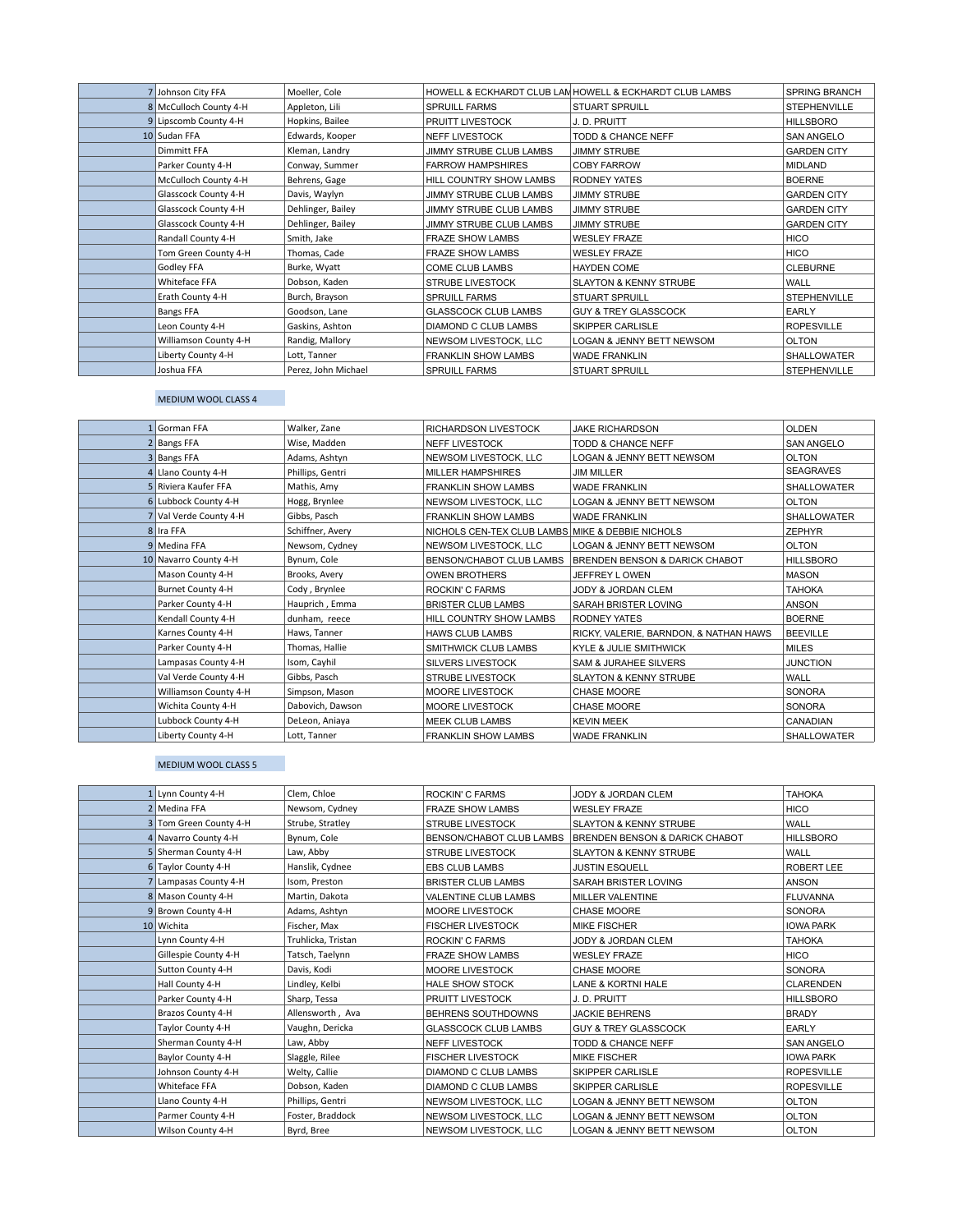| 7 Johnson City FFA     | Moeller, Cole       |                             | HOWELL & ECKHARDT CLUB LAM HOWELL & ECKHARDT CLUB LAMBS | SPRING BRANCH       |
|------------------------|---------------------|-----------------------------|---------------------------------------------------------|---------------------|
| 8 McCulloch County 4-H | Appleton, Lili      | <b>SPRUILL FARMS</b>        | <b>STUART SPRUILL</b>                                   | <b>STEPHENVILLE</b> |
| 9 Lipscomb County 4-H  | Hopkins, Bailee     | PRUITT LIVESTOCK            | J.D. PRUITT                                             | <b>HILLSBORO</b>    |
| 10 Sudan FFA           | Edwards, Kooper     | <b>NEFF LIVESTOCK</b>       | TODD & CHANCE NEFF                                      | <b>SAN ANGELO</b>   |
| <b>Dimmitt FFA</b>     | Kleman, Landry      | JIMMY STRUBE CLUB LAMBS     | <b>JIMMY STRUBE</b>                                     | <b>GARDEN CITY</b>  |
| Parker County 4-H      | Conway, Summer      | <b>FARROW HAMPSHIRES</b>    | <b>COBY FARROW</b>                                      | MIDLAND             |
| McCulloch County 4-H   | Behrens, Gage       | HILL COUNTRY SHOW LAMBS     | RODNEY YATES                                            | <b>BOERNE</b>       |
| Glasscock County 4-H   | Davis, Waylyn       | JIMMY STRUBE CLUB LAMBS     | <b>JIMMY STRUBE</b>                                     | <b>GARDEN CITY</b>  |
| Glasscock County 4-H   | Dehlinger, Bailey   | JIMMY STRUBE CLUB LAMBS     | <b>JIMMY STRUBE</b>                                     | <b>GARDEN CITY</b>  |
| Glasscock County 4-H   | Dehlinger, Bailey   | JIMMY STRUBE CLUB LAMBS     | <b>JIMMY STRUBE</b>                                     | <b>GARDEN CITY</b>  |
| Randall County 4-H     | Smith, Jake         | <b>FRAZE SHOW LAMBS</b>     | <b>WESLEY FRAZE</b>                                     | <b>HICO</b>         |
| Tom Green County 4-H   | Thomas, Cade        | <b>FRAZE SHOW LAMBS</b>     | <b>WESLEY FRAZE</b>                                     | <b>HICO</b>         |
| Godley FFA             | Burke, Wyatt        | COME CLUB LAMBS             | <b>HAYDEN COME</b>                                      | <b>CLEBURNE</b>     |
| Whiteface FFA          | Dobson, Kaden       | <b>STRUBE LIVESTOCK</b>     | <b>SLAYTON &amp; KENNY STRUBE</b>                       | WALL                |
| Erath County 4-H       | Burch, Brayson      | <b>SPRUILL FARMS</b>        | <b>STUART SPRUILL</b>                                   | <b>STEPHENVILLE</b> |
| Bangs FFA              | Goodson, Lane       | <b>GLASSCOCK CLUB LAMBS</b> | <b>GUY &amp; TREY GLASSCOCK</b>                         | <b>EARLY</b>        |
| Leon County 4-H        | Gaskins, Ashton     | DIAMOND C CLUB LAMBS        | <b>SKIPPER CARLISLE</b>                                 | <b>ROPESVILLE</b>   |
| Williamson County 4-H  | Randig, Mallory     | NEWSOM LIVESTOCK, LLC       | <b>LOGAN &amp; JENNY BETT NEWSOM</b>                    | <b>OLTON</b>        |
| Liberty County 4-H     | Lott, Tanner        | <b>FRANKLIN SHOW LAMBS</b>  | <b>WADE FRANKLIN</b>                                    | SHALLOWATER         |
| Joshua FFA             | Perez, John Michael | <b>SPRUILL FARMS</b>        | STUART SPRUILL                                          | <b>STEPHENVILLE</b> |

### MEDIUM WOOL CLASS 4

| 1 Gorman FFA           | Walker, Zane     | <b>RICHARDSON LIVESTOCK</b>                      | <b>JAKE RICHARDSON</b>                    | <b>OLDEN</b>       |
|------------------------|------------------|--------------------------------------------------|-------------------------------------------|--------------------|
| 2 Bangs FFA            | Wise, Madden     | <b>NEFF LIVESTOCK</b>                            | TODD & CHANCE NEFF                        | <b>SAN ANGELO</b>  |
| 3 Bangs FFA            | Adams, Ashtyn    | NEWSOM LIVESTOCK, LLC                            | LOGAN & JENNY BETT NEWSOM                 | <b>OLTON</b>       |
| 4 Llano County 4-H     | Phillips, Gentri | MILLER HAMPSHIRES                                | <b>JIM MILLER</b>                         | <b>SEAGRAVES</b>   |
| 5 Riviera Kaufer FFA   | Mathis, Amy      | <b>FRANKLIN SHOW LAMBS</b>                       | <b>WADE FRANKLIN</b>                      | <b>SHALLOWATER</b> |
| 6 Lubbock County 4-H   | Hogg, Brynlee    | NEWSOM LIVESTOCK, LLC                            | <b>LOGAN &amp; JENNY BETT NEWSOM</b>      | <b>OLTON</b>       |
| 7 Val Verde County 4-H | Gibbs, Pasch     | FRANKLIN SHOW LAMBS                              | <b>WADE FRANKLIN</b>                      | SHALLOWATER        |
| 8 Ira FFA              | Schiffner, Avery | NICHOLS CEN-TEX CLUB LAMBS MIKE & DEBBIE NICHOLS |                                           | <b>ZEPHYR</b>      |
| 9 Medina FFA           | Newsom, Cydney   | NEWSOM LIVESTOCK, LLC                            | LOGAN & JENNY BETT NEWSOM                 | <b>OLTON</b>       |
| 10 Navarro County 4-H  | Bynum, Cole      | BENSON/CHABOT CLUB LAMBS                         | <b>BRENDEN BENSON &amp; DARICK CHABOT</b> | <b>HILLSBORO</b>   |
| Mason County 4-H       | Brooks, Avery    | <b>OWEN BROTHERS</b>                             | JEFFREY LOWEN                             | <b>MASON</b>       |
| Burnet County 4-H      | Cody, Brynlee    | <b>ROCKIN' C FARMS</b>                           | <b>JODY &amp; JORDAN CLEM</b>             | <b>TAHOKA</b>      |
| Parker County 4-H      | Hauprich, Emma   | <b>BRISTER CLUB LAMBS</b>                        | SARAH BRISTER LOVING                      | ANSON              |
| Kendall County 4-H     | dunham, reece    | HILL COUNTRY SHOW LAMBS                          | <b>RODNEY YATES</b>                       | <b>BOERNE</b>      |
| Karnes County 4-H      | Haws, Tanner     | <b>HAWS CLUB LAMBS</b>                           | RICKY, VALERIE, BARNDON, & NATHAN HAWS    | <b>BEEVILLE</b>    |
| Parker County 4-H      | Thomas, Hallie   | <b>SMITHWICK CLUB LAMBS</b>                      | <b>KYLE &amp; JULIE SMITHWICK</b>         | <b>MILES</b>       |
| Lampasas County 4-H    | Isom, Cayhil     | <b>SILVERS LIVESTOCK</b>                         | <b>SAM &amp; JURAHEE SILVERS</b>          | <b>JUNCTION</b>    |
| Val Verde County 4-H   | Gibbs, Pasch     | <b>STRUBE LIVESTOCK</b>                          | <b>SLAYTON &amp; KENNY STRUBE</b>         | WALL               |
| Williamson County 4-H  | Simpson, Mason   | <b>MOORE LIVESTOCK</b>                           | <b>CHASE MOORE</b>                        | <b>SONORA</b>      |
| Wichita County 4-H     | Dabovich, Dawson | <b>MOORE LIVESTOCK</b>                           | <b>CHASE MOORE</b>                        | <b>SONORA</b>      |
| Lubbock County 4-H     | DeLeon, Aniaya   | MEEK CLUB LAMBS                                  | <b>KEVIN MEEK</b>                         | CANADIAN           |
| Liberty County 4-H     | Lott, Tanner     | <b>FRANKLIN SHOW LAMBS</b>                       | <b>WADE FRANKLIN</b>                      | <b>SHALLOWATER</b> |

## MEDIUM WOOL CLASS 5

| 1 Lynn County 4-H      | Clem. Chloe        | <b>ROCKIN' C FARMS</b>      | JODY & JORDAN CLEM                        | <b>ТАНОКА</b>     |
|------------------------|--------------------|-----------------------------|-------------------------------------------|-------------------|
| 2 Medina FFA           | Newsom, Cydney     | <b>FRAZE SHOW LAMBS</b>     | <b>WESLEY FRAZE</b>                       | <b>HICO</b>       |
| 3 Tom Green County 4-H | Strube, Stratley   | <b>STRUBE LIVESTOCK</b>     | <b>SLAYTON &amp; KENNY STRUBE</b>         | WALL              |
| 4 Navarro County 4-H   | Bynum, Cole        | BENSON/CHABOT CLUB LAMBS    | <b>BRENDEN BENSON &amp; DARICK CHABOT</b> | <b>HILLSBORO</b>  |
| 5 Sherman County 4-H   | Law, Abby          | <b>STRUBE LIVESTOCK</b>     | <b>SLAYTON &amp; KENNY STRUBE</b>         | WALL              |
| 6 Taylor County 4-H    | Hanslik, Cydnee    | <b>EBS CLUB LAMBS</b>       | <b>JUSTIN ESQUELL</b>                     | <b>ROBERT LEE</b> |
| Lampasas County 4-H    | Isom, Preston      | <b>BRISTER CLUB LAMBS</b>   | SARAH BRISTER LOVING                      | <b>ANSON</b>      |
| 8 Mason County 4-H     | Martin, Dakota     | VALENTINE CLUB LAMBS        | <b>MILLER VALENTINE</b>                   | <b>FLUVANNA</b>   |
| 9 Brown County 4-H     | Adams, Ashtyn      | <b>MOORE LIVESTOCK</b>      | <b>CHASE MOORE</b>                        | <b>SONORA</b>     |
| 10 Wichita             | Fischer, Max       | <b>FISCHER LIVESTOCK</b>    | <b>MIKE FISCHER</b>                       | <b>IOWA PARK</b>  |
| Lynn County 4-H        | Truhlicka, Tristan | <b>ROCKIN' C FARMS</b>      | JODY & JORDAN CLEM                        | <b>ТАНОКА</b>     |
| Gillespie County 4-H   | Tatsch, Taelynn    | <b>FRAZE SHOW LAMBS</b>     | <b>WESLEY FRAZE</b>                       | <b>HICO</b>       |
| Sutton County 4-H      | Davis, Kodi        | <b>MOORE LIVESTOCK</b>      | <b>CHASE MOORE</b>                        | <b>SONORA</b>     |
| Hall County 4-H        | Lindley, Kelbi     | <b>HALE SHOW STOCK</b>      | <b>LANE &amp; KORTNI HALE</b>             | <b>CLARENDEN</b>  |
| Parker County 4-H      | Sharp, Tessa       | PRUITT LIVESTOCK            | J.D. PRUITT                               | <b>HILLSBORO</b>  |
| Brazos County 4-H      | Allensworth, Ava   | <b>BEHRENS SOUTHDOWNS</b>   | <b>JACKIE BEHRENS</b>                     | <b>BRADY</b>      |
| Taylor County 4-H      | Vaughn, Dericka    | <b>GLASSCOCK CLUB LAMBS</b> | <b>GUY &amp; TREY GLASSCOCK</b>           | <b>EARLY</b>      |
| Sherman County 4-H     | Law, Abby          | <b>NEFF LIVESTOCK</b>       | <b>TODD &amp; CHANCE NEFF</b>             | <b>SAN ANGELO</b> |
| Baylor County 4-H      | Slaggle, Rilee     | <b>FISCHER LIVESTOCK</b>    | <b>MIKE FISCHER</b>                       | <b>IOWA PARK</b>  |
| Johnson County 4-H     | Welty, Callie      | <b>DIAMOND C CLUB LAMBS</b> | <b>SKIPPER CARLISLE</b>                   | <b>ROPESVILLE</b> |
| Whiteface FFA          | Dobson, Kaden      | <b>DIAMOND C CLUB LAMBS</b> | <b>SKIPPER CARLISLE</b>                   | <b>ROPESVILLE</b> |
| Llano County 4-H       | Phillips, Gentri   | NEWSOM LIVESTOCK, LLC       | <b>LOGAN &amp; JENNY BETT NEWSOM</b>      | <b>OLTON</b>      |
| Parmer County 4-H      | Foster, Braddock   | NEWSOM LIVESTOCK, LLC       | <b>LOGAN &amp; JENNY BETT NEWSOM</b>      | <b>OLTON</b>      |
| Wilson County 4-H      | Byrd, Bree         | NEWSOM LIVESTOCK, LLC       | LOGAN & JENNY BETT NEWSOM                 | <b>OLTON</b>      |